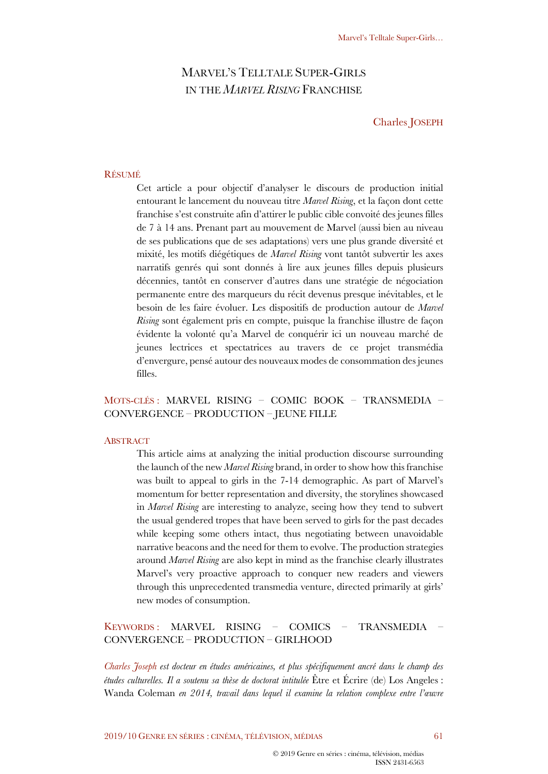# MARVEL'S TELLTALE SUPER-GIRLS IN THE *MARVEL RISING* FRANCHISE

Charles JOSEPH

#### RÉSUMÉ

Cet article a pour objectif d'analyser le discours de production initial entourant le lancement du nouveau titre *Marvel Rising*, et la façon dont cette franchise s'est construite afin d'attirer le public cible convoité des jeunes filles de 7 à 14 ans. Prenant part au mouvement de Marvel (aussi bien au niveau de ses publications que de ses adaptations) vers une plus grande diversité et mixité, les motifs diégétiques de *Marvel Rising* vont tantôt subvertir les axes narratifs genrés qui sont donnés à lire aux jeunes filles depuis plusieurs décennies, tantôt en conserver d'autres dans une stratégie de négociation permanente entre des marqueurs du récit devenus presque inévitables, et le besoin de les faire évoluer. Les dispositifs de production autour de *Marvel Rising* sont également pris en compte, puisque la franchise illustre de façon évidente la volonté qu'a Marvel de conquérir ici un nouveau marché de jeunes lectrices et spectatrices au travers de ce projet transmédia d'envergure, pensé autour des nouveaux modes de consommation des jeunes filles.

## MOTS-CLÉS : MARVEL RISING – COMIC BOOK – TRANSMEDIA – CONVERGENCE – PRODUCTION – JEUNE FILLE

#### **ABSTRACT**

This article aims at analyzing the initial production discourse surrounding the launch of the new *Marvel Rising* brand, in order to show how this franchise was built to appeal to girls in the 7-14 demographic. As part of Marvel's momentum for better representation and diversity, the storylines showcased in *Marvel Rising* are interesting to analyze, seeing how they tend to subvert the usual gendered tropes that have been served to girls for the past decades while keeping some others intact, thus negotiating between unavoidable narrative beacons and the need for them to evolve. The production strategies around *Marvel Rising* are also kept in mind as the franchise clearly illustrates Marvel's very proactive approach to conquer new readers and viewers through this unprecedented transmedia venture, directed primarily at girls' new modes of consumption.

## KEYWORDS : MARVEL RISING – COMICS – TRANSMEDIA – CONVERGENCE – PRODUCTION – GIRLHOOD

*Charles Joseph est docteur en études américaines, et plus spécifiquement ancré dans le champ des études culturelles. Il a soutenu sa thèse de doctorat intitulée* Être et Écrire (de) Los Angeles : Wanda Coleman *en 2014, travail dans lequel il examine la relation complexe entre l'œuvre*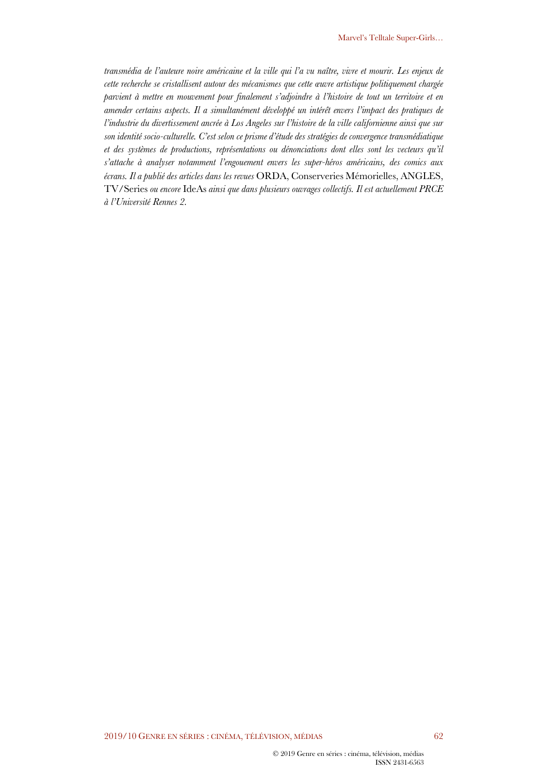*transmédia de l'auteure noire américaine et la ville qui l'a vu naître, vivre et mourir. Les enjeux de cette recherche se cristallisent autour des mécanismes que cette œuvre artistique politiquement chargée parvient à mettre en mouvement pour finalement s'adjoindre à l'histoire de tout un territoire et en amender certains aspects. Il a simultanément développé un intérêt envers l'impact des pratiques de l'industrie du divertissement ancrée à Los Angeles sur l'histoire de la ville californienne ainsi que sur son identité socio-culturelle. C'est selon ce prisme d'étude des stratégies de convergence transmédiatique et des systèmes de productions, représentations ou dénonciations dont elles sont les vecteurs qu'il s'attache à analyser notamment l'engouement envers les super-héros américains, des comics aux écrans. Il a publié des articles dans les revues* ORDA, Conserveries Mémorielles, ANGLES, TV/Series *ou encore* IdeAs *ainsi que dans plusieurs ouvrages collectifs. Il est actuellement PRCE à l'Université Rennes 2.*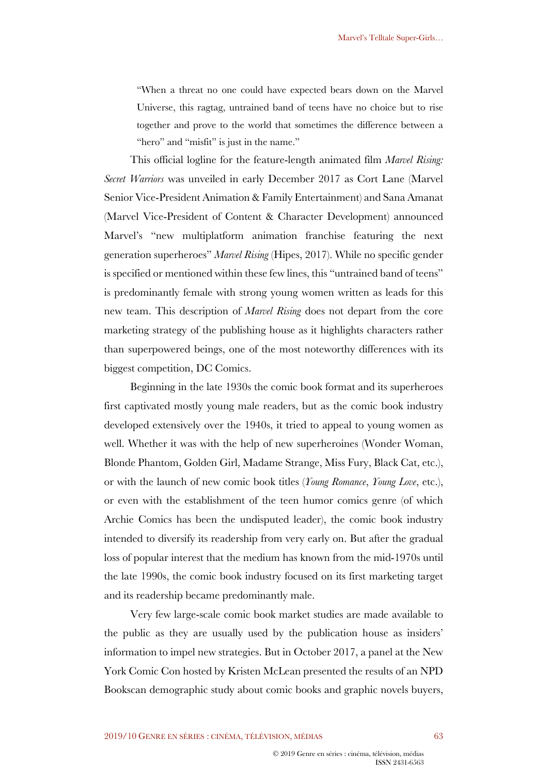"When a threat no one could have expected bears down on the Marvel Universe, this ragtag, untrained band of teens have no choice but to rise together and prove to the world that sometimes the difference between a "hero" and "misfit" is just in the name."

This official logline for the feature-length animated film *Marvel Rising: Secret Warriors* was unveiled in early December 2017 as Cort Lane (Marvel Senior Vice-President Animation & Family Entertainment) and Sana Amanat (Marvel Vice-President of Content & Character Development) announced Marvel's "new multiplatform animation franchise featuring the next generation superheroes" *Marvel Rising* (Hipes, 2017). While no specific gender is specified or mentioned within these few lines, this "untrained band of teens" is predominantly female with strong young women written as leads for this new team. This description of *Marvel Rising* does not depart from the core marketing strategy of the publishing house as it highlights characters rather than superpowered beings, one of the most noteworthy differences with its biggest competition, DC Comics.

Beginning in the late 1930s the comic book format and its superheroes first captivated mostly young male readers, but as the comic book industry developed extensively over the 1940s, it tried to appeal to young women as well. Whether it was with the help of new superheroines (Wonder Woman, Blonde Phantom, Golden Girl, Madame Strange, Miss Fury, Black Cat, etc.), or with the launch of new comic book titles (*Young Romance*, *Young Love*, etc.), or even with the establishment of the teen humor comics genre (of which Archie Comics has been the undisputed leader), the comic book industry intended to diversify its readership from very early on. But after the gradual loss of popular interest that the medium has known from the mid-1970s until the late 1990s, the comic book industry focused on its first marketing target and its readership became predominantly male.

Very few large-scale comic book market studies are made available to the public as they are usually used by the publication house as insiders' information to impel new strategies. But in October 2017, a panel at the New York Comic Con hosted by Kristen McLean presented the results of an NPD Bookscan demographic study about comic books and graphic novels buyers,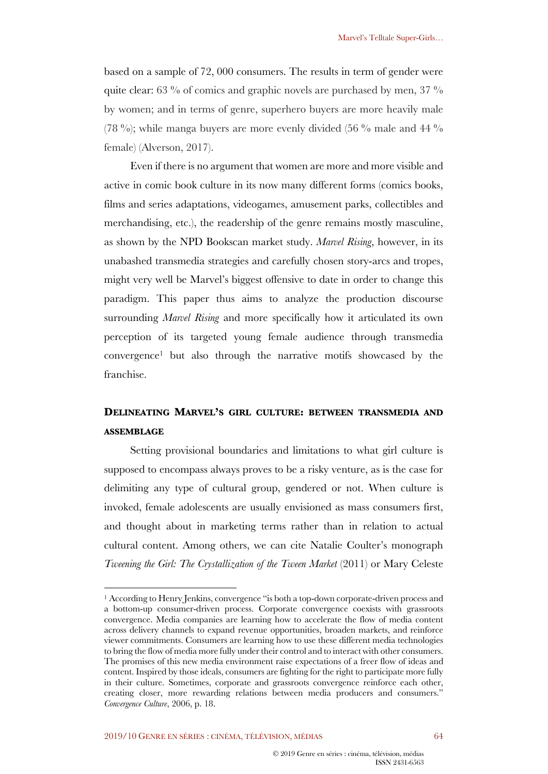based on a sample of 72, 000 consumers. The results in term of gender were quite clear:  $63\%$  of comics and graphic novels are purchased by men,  $37\%$ by women; and in terms of genre, superhero buyers are more heavily male (78 %); while manga buyers are more evenly divided (56 % male and 44 %) female) (Alverson, 2017).

Even if there is no argument that women are more and more visible and active in comic book culture in its now many different forms (comics books, films and series adaptations, videogames, amusement parks, collectibles and merchandising, etc.), the readership of the genre remains mostly masculine, as shown by the NPD Bookscan market study. *Marvel Rising*, however, in its unabashed transmedia strategies and carefully chosen story-arcs and tropes, might very well be Marvel's biggest offensive to date in order to change this paradigm. This paper thus aims to analyze the production discourse surrounding *Marvel Rising* and more specifically how it articulated its own perception of its targeted young female audience through transmedia convergence1 but also through the narrative motifs showcased by the franchise.

# **DELINEATING MARVEL'S GIRL CULTURE: BETWEEN TRANSMEDIA AND ASSEMBLAGE**

Setting provisional boundaries and limitations to what girl culture is supposed to encompass always proves to be a risky venture, as is the case for delimiting any type of cultural group, gendered or not. When culture is invoked, female adolescents are usually envisioned as mass consumers first, and thought about in marketing terms rather than in relation to actual cultural content. Among others, we can cite Natalie Coulter's monograph *Tweening the Girl: The Crystallization of the Tween Market* (2011) or Mary Celeste

<sup>&</sup>lt;sup>1</sup> According to Henry Jenkins, convergence "is both a top-down corporate-driven process and a bottom-up consumer-driven process. Corporate convergence coexists with grassroots convergence. Media companies are learning how to accelerate the flow of media content across delivery channels to expand revenue opportunities, broaden markets, and reinforce viewer commitments. Consumers are learning how to use these different media technologies to bring the flow of media more fully under their control and to interact with other consumers. The promises of this new media environment raise expectations of a freer flow of ideas and content. Inspired by those ideals, consumers are fighting for the right to participate more fully in their culture. Sometimes, corporate and grassroots convergence reinforce each other, creating closer, more rewarding relations between media producers and consumers." *Convergence Culture*, 2006, p. 18.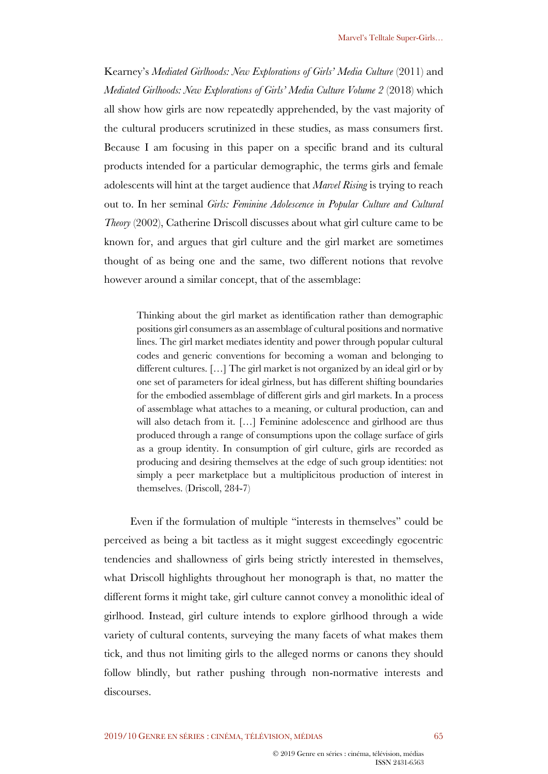Kearney's *Mediated Girlhoods: New Explorations of Girls' Media Culture* (2011) and *Mediated Girlhoods: New Explorations of Girls' Media Culture Volume 2* (2018) which all show how girls are now repeatedly apprehended, by the vast majority of the cultural producers scrutinized in these studies, as mass consumers first. Because I am focusing in this paper on a specific brand and its cultural products intended for a particular demographic, the terms girls and female adolescents will hint at the target audience that *Marvel Rising* is trying to reach out to. In her seminal *Girls: Feminine Adolescence in Popular Culture and Cultural Theory* (2002), Catherine Driscoll discusses about what girl culture came to be known for, and argues that girl culture and the girl market are sometimes thought of as being one and the same, two different notions that revolve however around a similar concept, that of the assemblage:

Thinking about the girl market as identification rather than demographic positions girl consumers as an assemblage of cultural positions and normative lines. The girl market mediates identity and power through popular cultural codes and generic conventions for becoming a woman and belonging to different cultures. […] The girl market is not organized by an ideal girl or by one set of parameters for ideal girlness, but has different shifting boundaries for the embodied assemblage of different girls and girl markets. In a process of assemblage what attaches to a meaning, or cultural production, can and will also detach from it. [...] Feminine adolescence and girlhood are thus produced through a range of consumptions upon the collage surface of girls as a group identity. In consumption of girl culture, girls are recorded as producing and desiring themselves at the edge of such group identities: not simply a peer marketplace but a multiplicitous production of interest in themselves. (Driscoll, 284-7)

Even if the formulation of multiple "interests in themselves" could be perceived as being a bit tactless as it might suggest exceedingly egocentric tendencies and shallowness of girls being strictly interested in themselves, what Driscoll highlights throughout her monograph is that, no matter the different forms it might take, girl culture cannot convey a monolithic ideal of girlhood. Instead, girl culture intends to explore girlhood through a wide variety of cultural contents, surveying the many facets of what makes them tick, and thus not limiting girls to the alleged norms or canons they should follow blindly, but rather pushing through non-normative interests and discourses.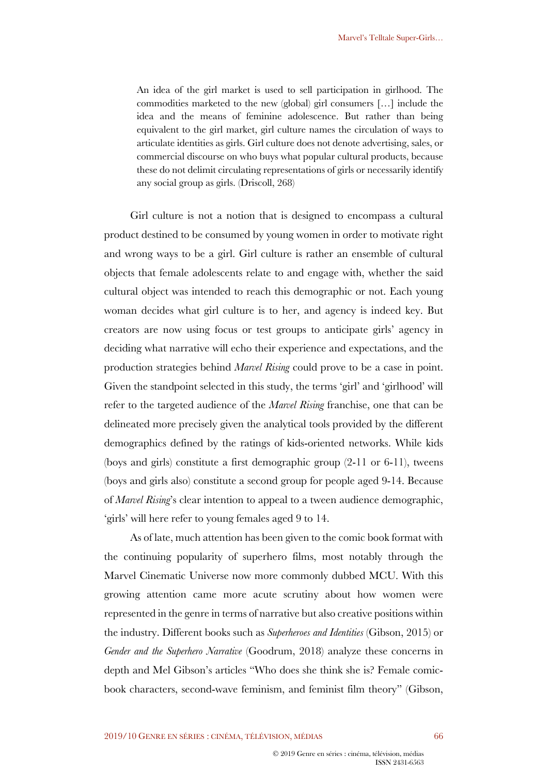An idea of the girl market is used to sell participation in girlhood. The commodities marketed to the new (global) girl consumers […] include the idea and the means of feminine adolescence. But rather than being equivalent to the girl market, girl culture names the circulation of ways to articulate identities as girls. Girl culture does not denote advertising, sales, or commercial discourse on who buys what popular cultural products, because these do not delimit circulating representations of girls or necessarily identify any social group as girls. (Driscoll, 268)

Girl culture is not a notion that is designed to encompass a cultural product destined to be consumed by young women in order to motivate right and wrong ways to be a girl. Girl culture is rather an ensemble of cultural objects that female adolescents relate to and engage with, whether the said cultural object was intended to reach this demographic or not. Each young woman decides what girl culture is to her, and agency is indeed key. But creators are now using focus or test groups to anticipate girls' agency in deciding what narrative will echo their experience and expectations, and the production strategies behind *Marvel Rising* could prove to be a case in point. Given the standpoint selected in this study, the terms 'girl' and 'girlhood' will refer to the targeted audience of the *Marvel Rising* franchise, one that can be delineated more precisely given the analytical tools provided by the different demographics defined by the ratings of kids-oriented networks. While kids (boys and girls) constitute a first demographic group (2-11 or 6-11), tweens (boys and girls also) constitute a second group for people aged 9-14. Because of *Marvel Rising*'s clear intention to appeal to a tween audience demographic, 'girls' will here refer to young females aged 9 to 14.

As of late, much attention has been given to the comic book format with the continuing popularity of superhero films, most notably through the Marvel Cinematic Universe now more commonly dubbed MCU. With this growing attention came more acute scrutiny about how women were represented in the genre in terms of narrative but also creative positions within the industry. Different books such as *Superheroes and Identities* (Gibson, 2015) or *Gender and the Superhero Narrative* (Goodrum, 2018) analyze these concerns in depth and Mel Gibson's articles "Who does she think she is? Female comicbook characters, second-wave feminism, and feminist film theory" (Gibson,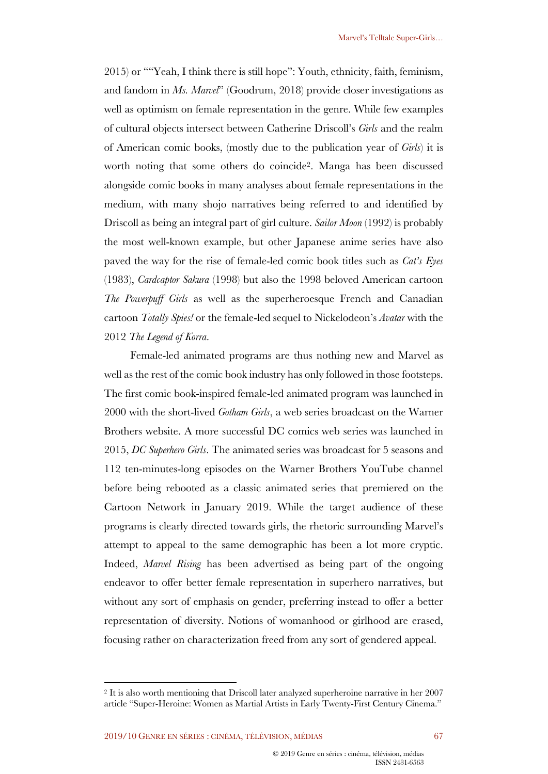2015) or ""Yeah, I think there is still hope": Youth, ethnicity, faith, feminism, and fandom in *Ms. Marvel*" (Goodrum, 2018) provide closer investigations as well as optimism on female representation in the genre. While few examples of cultural objects intersect between Catherine Driscoll's *Girls* and the realm of American comic books, (mostly due to the publication year of *Girls*) it is worth noting that some others do coincide2. Manga has been discussed alongside comic books in many analyses about female representations in the medium, with many shojo narratives being referred to and identified by Driscoll as being an integral part of girl culture. *Sailor Moon* (1992) is probably the most well-known example, but other Japanese anime series have also paved the way for the rise of female-led comic book titles such as *Cat's Eyes* (1983), *Cardcaptor Sakura* (1998) but also the 1998 beloved American cartoon *The Powerpuff Girls* as well as the superheroesque French and Canadian cartoon *Totally Spies!* or the female-led sequel to Nickelodeon's *Avatar* with the 2012 *The Legend of Korra*.

Female-led animated programs are thus nothing new and Marvel as well as the rest of the comic book industry has only followed in those footsteps. The first comic book-inspired female-led animated program was launched in 2000 with the short-lived *Gotham Girls*, a web series broadcast on the Warner Brothers website. A more successful DC comics web series was launched in 2015, *DC Superhero Girls*. The animated series was broadcast for 5 seasons and 112 ten-minutes-long episodes on the Warner Brothers YouTube channel before being rebooted as a classic animated series that premiered on the Cartoon Network in January 2019. While the target audience of these programs is clearly directed towards girls, the rhetoric surrounding Marvel's attempt to appeal to the same demographic has been a lot more cryptic. Indeed, *Marvel Rising* has been advertised as being part of the ongoing endeavor to offer better female representation in superhero narratives, but without any sort of emphasis on gender, preferring instead to offer a better representation of diversity. Notions of womanhood or girlhood are erased, focusing rather on characterization freed from any sort of gendered appeal.

<sup>2</sup> It is also worth mentioning that Driscoll later analyzed superheroine narrative in her 2007 article "Super-Heroine: Women as Martial Artists in Early Twenty-First Century Cinema."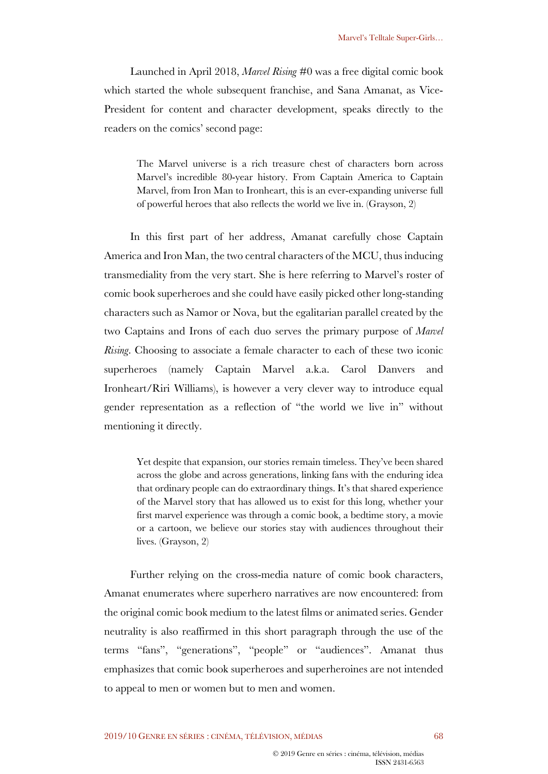Launched in April 2018, *Marvel Rising* #0 was a free digital comic book which started the whole subsequent franchise, and Sana Amanat, as Vice-President for content and character development, speaks directly to the readers on the comics' second page:

The Marvel universe is a rich treasure chest of characters born across Marvel's incredible 80-year history. From Captain America to Captain Marvel, from Iron Man to Ironheart, this is an ever-expanding universe full of powerful heroes that also reflects the world we live in. (Grayson, 2)

In this first part of her address, Amanat carefully chose Captain America and Iron Man, the two central characters of the MCU, thus inducing transmediality from the very start. She is here referring to Marvel's roster of comic book superheroes and she could have easily picked other long-standing characters such as Namor or Nova, but the egalitarian parallel created by the two Captains and Irons of each duo serves the primary purpose of *Marvel Rising*. Choosing to associate a female character to each of these two iconic superheroes (namely Captain Marvel a.k.a. Carol Danvers and Ironheart/Riri Williams), is however a very clever way to introduce equal gender representation as a reflection of "the world we live in" without mentioning it directly.

Yet despite that expansion, our stories remain timeless. They've been shared across the globe and across generations, linking fans with the enduring idea that ordinary people can do extraordinary things. It's that shared experience of the Marvel story that has allowed us to exist for this long, whether your first marvel experience was through a comic book, a bedtime story, a movie or a cartoon, we believe our stories stay with audiences throughout their lives. (Grayson, 2)

Further relying on the cross-media nature of comic book characters, Amanat enumerates where superhero narratives are now encountered: from the original comic book medium to the latest films or animated series. Gender neutrality is also reaffirmed in this short paragraph through the use of the terms "fans", "generations", "people" or "audiences". Amanat thus emphasizes that comic book superheroes and superheroines are not intended to appeal to men or women but to men and women.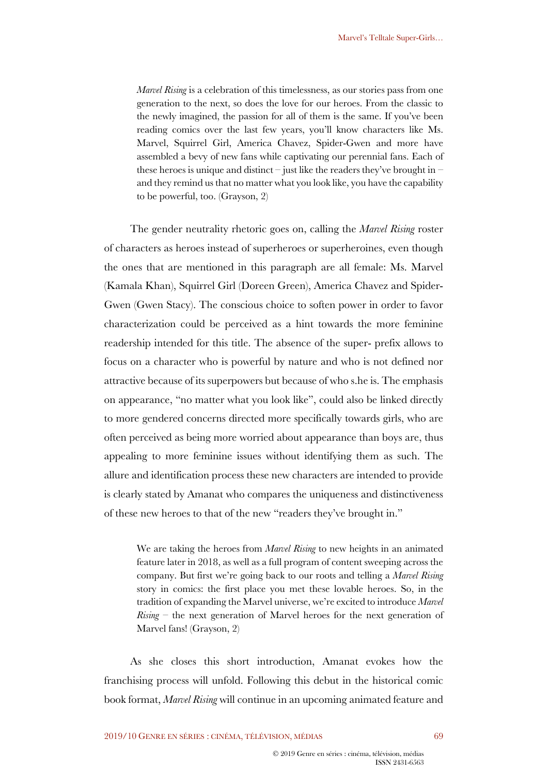*Marvel Rising* is a celebration of this timelessness, as our stories pass from one generation to the next, so does the love for our heroes. From the classic to the newly imagined, the passion for all of them is the same. If you've been reading comics over the last few years, you'll know characters like Ms. Marvel, Squirrel Girl, America Chavez, Spider-Gwen and more have assembled a bevy of new fans while captivating our perennial fans. Each of these heroes is unique and distinct – just like the readers they've brought in – and they remind us that no matter what you look like, you have the capability to be powerful, too. (Grayson, 2)

The gender neutrality rhetoric goes on, calling the *Marvel Rising* roster of characters as heroes instead of superheroes or superheroines, even though the ones that are mentioned in this paragraph are all female: Ms. Marvel (Kamala Khan), Squirrel Girl (Doreen Green), America Chavez and Spider-Gwen (Gwen Stacy). The conscious choice to soften power in order to favor characterization could be perceived as a hint towards the more feminine readership intended for this title. The absence of the super- prefix allows to focus on a character who is powerful by nature and who is not defined nor attractive because of its superpowers but because of who s.he is. The emphasis on appearance, "no matter what you look like", could also be linked directly to more gendered concerns directed more specifically towards girls, who are often perceived as being more worried about appearance than boys are, thus appealing to more feminine issues without identifying them as such. The allure and identification process these new characters are intended to provide is clearly stated by Amanat who compares the uniqueness and distinctiveness of these new heroes to that of the new "readers they've brought in."

We are taking the heroes from *Marvel Rising* to new heights in an animated feature later in 2018, as well as a full program of content sweeping across the company. But first we're going back to our roots and telling a *Marvel Rising* story in comics: the first place you met these lovable heroes. So, in the tradition of expanding the Marvel universe, we're excited to introduce *Marvel Rising* – the next generation of Marvel heroes for the next generation of Marvel fans! (Grayson, 2)

As she closes this short introduction, Amanat evokes how the franchising process will unfold. Following this debut in the historical comic book format, *Marvel Rising* will continue in an upcoming animated feature and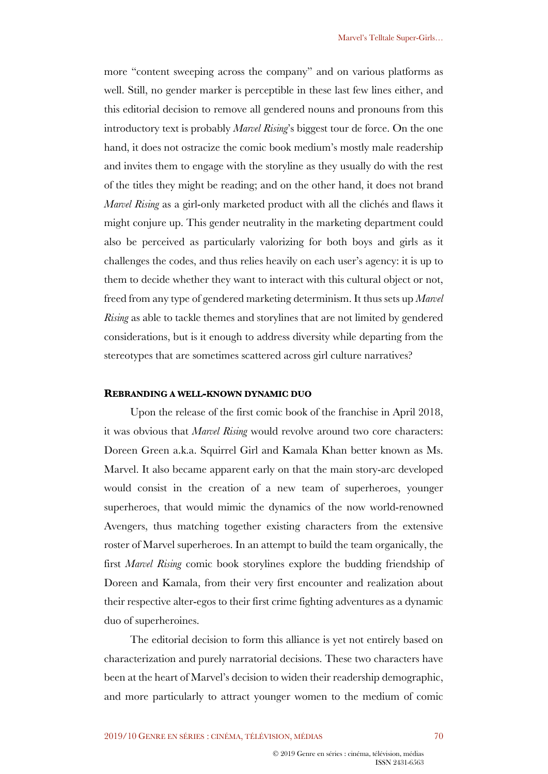more "content sweeping across the company" and on various platforms as well. Still, no gender marker is perceptible in these last few lines either, and this editorial decision to remove all gendered nouns and pronouns from this introductory text is probably *Marvel Rising*'s biggest tour de force. On the one hand, it does not ostracize the comic book medium's mostly male readership and invites them to engage with the storyline as they usually do with the rest of the titles they might be reading; and on the other hand, it does not brand *Marvel Rising* as a girl-only marketed product with all the clichés and flaws it might conjure up. This gender neutrality in the marketing department could also be perceived as particularly valorizing for both boys and girls as it challenges the codes, and thus relies heavily on each user's agency: it is up to them to decide whether they want to interact with this cultural object or not, freed from any type of gendered marketing determinism. It thus sets up *Marvel Rising* as able to tackle themes and storylines that are not limited by gendered considerations, but is it enough to address diversity while departing from the stereotypes that are sometimes scattered across girl culture narratives?

#### **REBRANDING A WELL-KNOWN DYNAMIC DUO**

Upon the release of the first comic book of the franchise in April 2018, it was obvious that *Marvel Rising* would revolve around two core characters: Doreen Green a.k.a. Squirrel Girl and Kamala Khan better known as Ms. Marvel. It also became apparent early on that the main story-arc developed would consist in the creation of a new team of superheroes, younger superheroes, that would mimic the dynamics of the now world-renowned Avengers, thus matching together existing characters from the extensive roster of Marvel superheroes. In an attempt to build the team organically, the first *Marvel Rising* comic book storylines explore the budding friendship of Doreen and Kamala, from their very first encounter and realization about their respective alter-egos to their first crime fighting adventures as a dynamic duo of superheroines.

The editorial decision to form this alliance is yet not entirely based on characterization and purely narratorial decisions. These two characters have been at the heart of Marvel's decision to widen their readership demographic, and more particularly to attract younger women to the medium of comic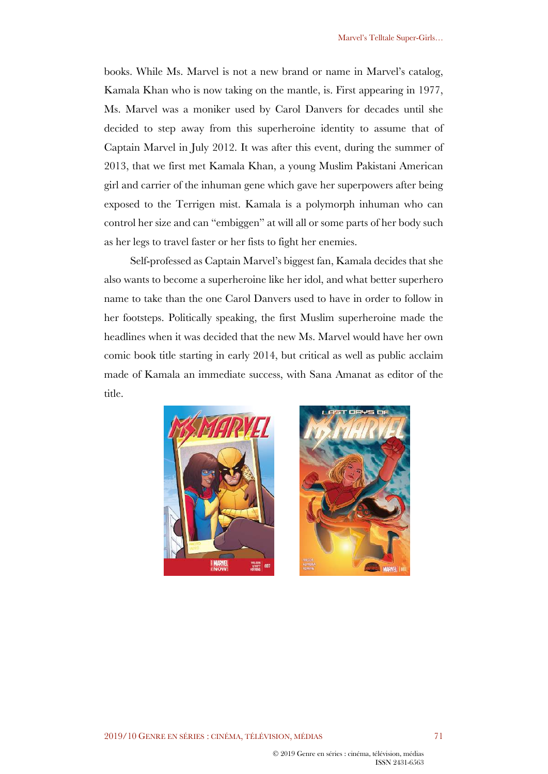books. While Ms. Marvel is not a new brand or name in Marvel's catalog, Kamala Khan who is now taking on the mantle, is. First appearing in 1977, Ms. Marvel was a moniker used by Carol Danvers for decades until she decided to step away from this superheroine identity to assume that of Captain Marvel in July 2012. It was after this event, during the summer of 2013, that we first met Kamala Khan, a young Muslim Pakistani American girl and carrier of the inhuman gene which gave her superpowers after being exposed to the Terrigen mist. Kamala is a polymorph inhuman who can control her size and can "embiggen" at will all or some parts of her body such as her legs to travel faster or her fists to fight her enemies.

Self-professed as Captain Marvel's biggest fan, Kamala decides that she also wants to become a superheroine like her idol, and what better superhero name to take than the one Carol Danvers used to have in order to follow in her footsteps. Politically speaking, the first Muslim superheroine made the headlines when it was decided that the new Ms. Marvel would have her own comic book title starting in early 2014, but critical as well as public acclaim made of Kamala an immediate success, with Sana Amanat as editor of the title.



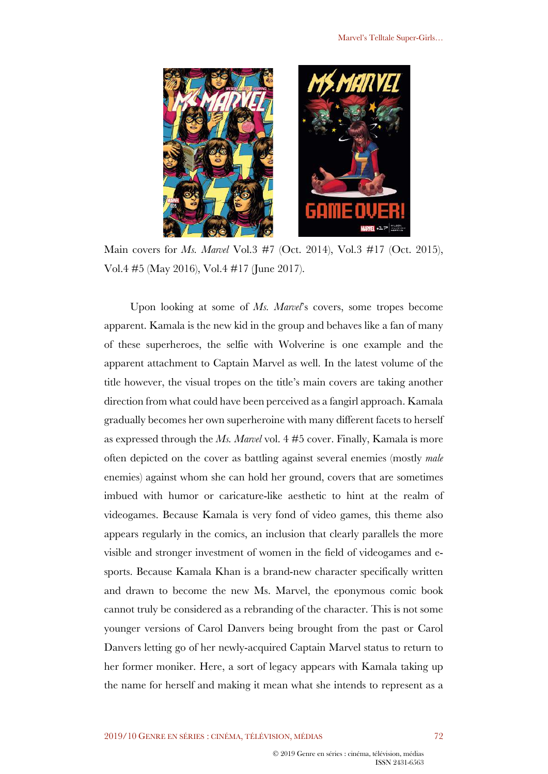

Main covers for *Ms. Marvel* Vol.3 #7 (Oct. 2014), Vol.3 #17 (Oct. 2015), Vol.4 #5 (May 2016), Vol.4 #17 (June 2017).

Upon looking at some of *Ms. Marvel*'s covers, some tropes become apparent. Kamala is the new kid in the group and behaves like a fan of many of these superheroes, the selfie with Wolverine is one example and the apparent attachment to Captain Marvel as well. In the latest volume of the title however, the visual tropes on the title's main covers are taking another direction from what could have been perceived as a fangirl approach. Kamala gradually becomes her own superheroine with many different facets to herself as expressed through the *Ms. Marvel* vol. 4 #5 cover. Finally, Kamala is more often depicted on the cover as battling against several enemies (mostly *male* enemies) against whom she can hold her ground, covers that are sometimes imbued with humor or caricature-like aesthetic to hint at the realm of videogames. Because Kamala is very fond of video games, this theme also appears regularly in the comics, an inclusion that clearly parallels the more visible and stronger investment of women in the field of videogames and esports. Because Kamala Khan is a brand-new character specifically written and drawn to become the new Ms. Marvel, the eponymous comic book cannot truly be considered as a rebranding of the character. This is not some younger versions of Carol Danvers being brought from the past or Carol Danvers letting go of her newly-acquired Captain Marvel status to return to her former moniker. Here, a sort of legacy appears with Kamala taking up the name for herself and making it mean what she intends to represent as a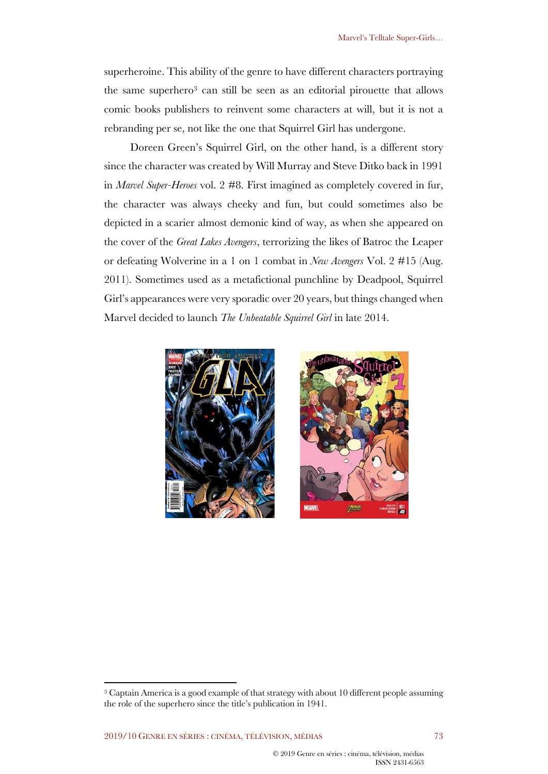superheroine. This ability of the genre to have different characters portraying the same superhero3 can still be seen as an editorial pirouette that allows comic books publishers to reinvent some characters at will, but it is not a rebranding per se, not like the one that Squirrel Girl has undergone.

Doreen Green's Squirrel Girl, on the other hand, is a different story since the character was created by Will Murray and Steve Ditko back in 1991 in *Marvel Super-Heroes* vol. 2 #8. First imagined as completely covered in fur, the character was always cheeky and fun, but could sometimes also be depicted in a scarier almost demonic kind of way, as when she appeared on the cover of the *Great Lakes Avengers*, terrorizing the likes of Batroc the Leaper or defeating Wolverine in a 1 on 1 combat in *New Avengers* Vol. 2 #15 (Aug. 2011). Sometimes used as a metafictional punchline by Deadpool, Squirrel Girl's appearances were very sporadic over 20 years, but things changed when Marvel decided to launch *The Unbeatable Squirrel Girl* in late 2014.



<sup>3</sup> Captain America is a good example of that strategy with about 10 different people assuming the role of the superhero since the title's publication in 1941.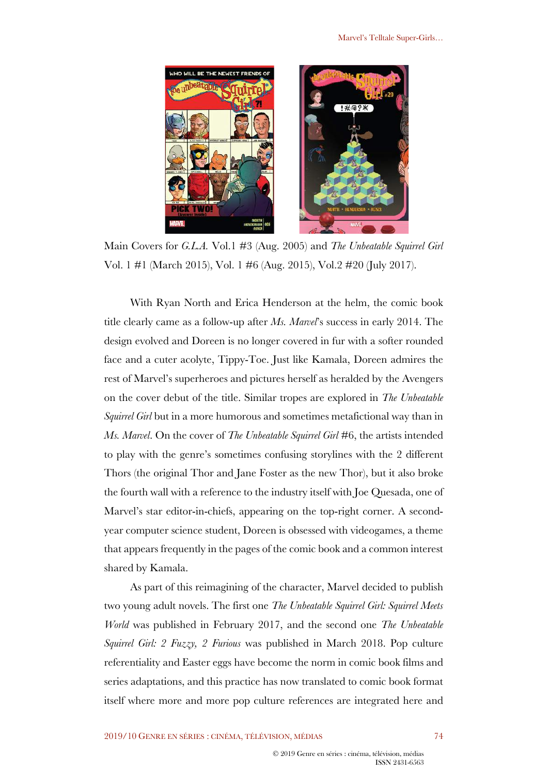

Main Covers for *G.L.A.* Vol.1 #3 (Aug. 2005) and *The Unbeatable Squirrel Girl* Vol. 1 #1 (March 2015), Vol. 1 #6 (Aug. 2015), Vol.2 #20 (July 2017).

With Ryan North and Erica Henderson at the helm, the comic book title clearly came as a follow-up after *Ms. Marvel*'s success in early 2014. The design evolved and Doreen is no longer covered in fur with a softer rounded face and a cuter acolyte, Tippy-Toe. Just like Kamala, Doreen admires the rest of Marvel's superheroes and pictures herself as heralded by the Avengers on the cover debut of the title. Similar tropes are explored in *The Unbeatable Squirrel Girl* but in a more humorous and sometimes metafictional way than in *Ms. Marvel*. On the cover of *The Unbeatable Squirrel Girl* #6, the artists intended to play with the genre's sometimes confusing storylines with the 2 different Thors (the original Thor and Jane Foster as the new Thor), but it also broke the fourth wall with a reference to the industry itself with Joe Quesada, one of Marvel's star editor-in-chiefs, appearing on the top-right corner. A secondyear computer science student, Doreen is obsessed with videogames, a theme that appears frequently in the pages of the comic book and a common interest shared by Kamala.

As part of this reimagining of the character, Marvel decided to publish two young adult novels. The first one *The Unbeatable Squirrel Girl: Squirrel Meets World* was published in February 2017, and the second one *The Unbeatable Squirrel Girl: 2 Fuzzy, 2 Furious* was published in March 2018. Pop culture referentiality and Easter eggs have become the norm in comic book films and series adaptations, and this practice has now translated to comic book format itself where more and more pop culture references are integrated here and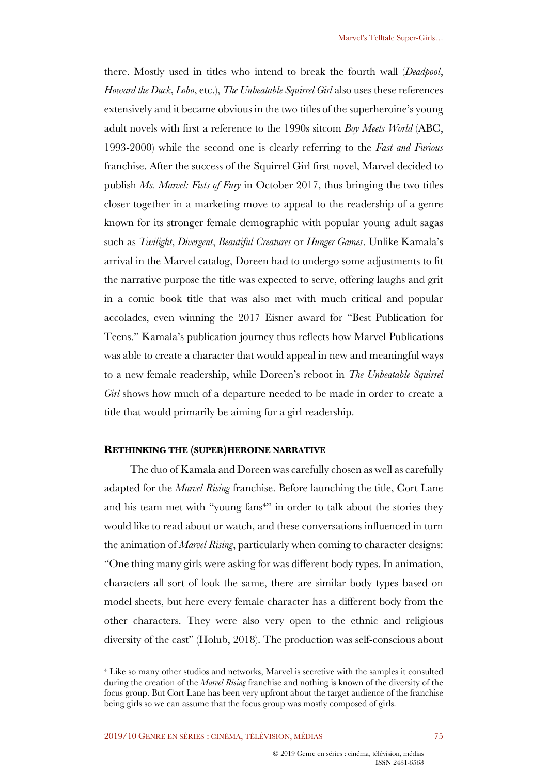there. Mostly used in titles who intend to break the fourth wall (*Deadpool*, *Howard the Duck*, *Lobo*, etc.), *The Unbeatable Squirrel Girl* also uses these references extensively and it became obvious in the two titles of the superheroine's young adult novels with first a reference to the 1990s sitcom *Boy Meets World* (ABC, 1993-2000) while the second one is clearly referring to the *Fast and Furious* franchise. After the success of the Squirrel Girl first novel, Marvel decided to publish *Ms. Marvel: Fists of Fury* in October 2017, thus bringing the two titles closer together in a marketing move to appeal to the readership of a genre known for its stronger female demographic with popular young adult sagas such as *Twilight*, *Divergent*, *Beautiful Creatures* or *Hunger Games*. Unlike Kamala's arrival in the Marvel catalog, Doreen had to undergo some adjustments to fit the narrative purpose the title was expected to serve, offering laughs and grit in a comic book title that was also met with much critical and popular accolades, even winning the 2017 Eisner award for "Best Publication for Teens." Kamala's publication journey thus reflects how Marvel Publications was able to create a character that would appeal in new and meaningful ways to a new female readership, while Doreen's reboot in *The Unbeatable Squirrel Girl* shows how much of a departure needed to be made in order to create a title that would primarily be aiming for a girl readership.

## **RETHINKING THE (SUPER)HEROINE NARRATIVE**

The duo of Kamala and Doreen was carefully chosen as well as carefully adapted for the *Marvel Rising* franchise. Before launching the title, Cort Lane and his team met with "young fans<sup>4"</sup> in order to talk about the stories they would like to read about or watch, and these conversations influenced in turn the animation of *Marvel Rising*, particularly when coming to character designs: "One thing many girls were asking for was different body types. In animation, characters all sort of look the same, there are similar body types based on model sheets, but here every female character has a different body from the other characters. They were also very open to the ethnic and religious diversity of the cast" (Holub, 2018). The production was self-conscious about

<sup>4</sup> Like so many other studios and networks, Marvel is secretive with the samples it consulted during the creation of the *Marvel Rising* franchise and nothing is known of the diversity of the focus group. But Cort Lane has been very upfront about the target audience of the franchise being girls so we can assume that the focus group was mostly composed of girls.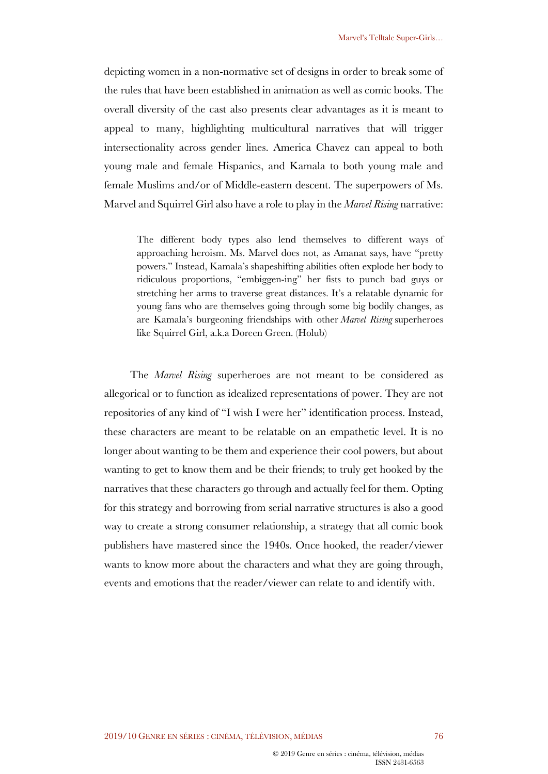depicting women in a non-normative set of designs in order to break some of the rules that have been established in animation as well as comic books. The overall diversity of the cast also presents clear advantages as it is meant to appeal to many, highlighting multicultural narratives that will trigger intersectionality across gender lines. America Chavez can appeal to both young male and female Hispanics, and Kamala to both young male and female Muslims and/or of Middle-eastern descent. The superpowers of Ms. Marvel and Squirrel Girl also have a role to play in the *Marvel Rising* narrative:

The different body types also lend themselves to different ways of approaching heroism. Ms. Marvel does not, as Amanat says, have "pretty powers." Instead, Kamala's shapeshifting abilities often explode her body to ridiculous proportions, "embiggen-ing" her fists to punch bad guys or stretching her arms to traverse great distances. It's a relatable dynamic for young fans who are themselves going through some big bodily changes, as are Kamala's burgeoning friendships with other *Marvel Rising* superheroes like Squirrel Girl, a.k.a Doreen Green. (Holub)

The *Marvel Rising* superheroes are not meant to be considered as allegorical or to function as idealized representations of power. They are not repositories of any kind of "I wish I were her" identification process. Instead, these characters are meant to be relatable on an empathetic level. It is no longer about wanting to be them and experience their cool powers, but about wanting to get to know them and be their friends; to truly get hooked by the narratives that these characters go through and actually feel for them. Opting for this strategy and borrowing from serial narrative structures is also a good way to create a strong consumer relationship, a strategy that all comic book publishers have mastered since the 1940s. Once hooked, the reader/viewer wants to know more about the characters and what they are going through, events and emotions that the reader/viewer can relate to and identify with.

ISSN 2431-6563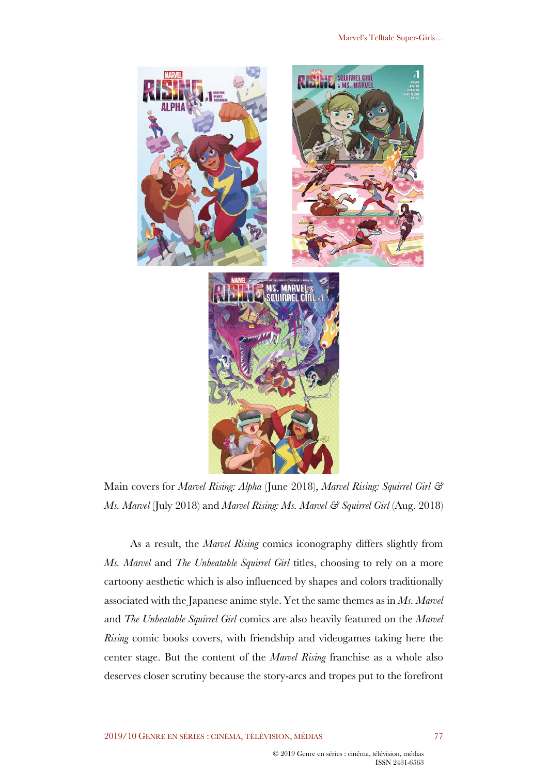

Main covers for *Marvel Rising: Alpha* (June 2018), *Marvel Rising: Squirrel Girl & Ms. Marvel* (July 2018) and *Marvel Rising: Ms. Marvel & Squirrel Girl* (Aug. 2018)

As a result, the *Marvel Rising* comics iconography differs slightly from *Ms. Marvel* and *The Unbeatable Squirrel Girl* titles, choosing to rely on a more cartoony aesthetic which is also influenced by shapes and colors traditionally associated with the Japanese anime style. Yet the same themes as in *Ms. Marvel* and *The Unbeatable Squirrel Girl* comics are also heavily featured on the *Marvel Rising* comic books covers, with friendship and videogames taking here the center stage. But the content of the *Marvel Rising* franchise as a whole also deserves closer scrutiny because the story-arcs and tropes put to the forefront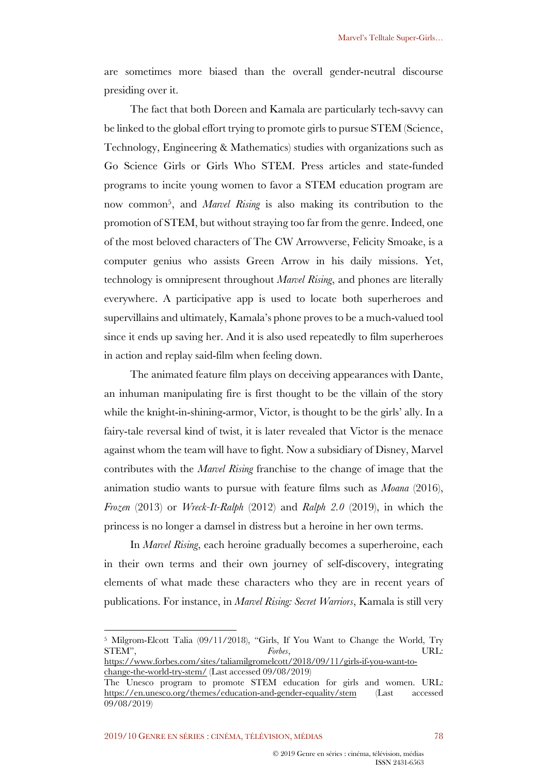are sometimes more biased than the overall gender-neutral discourse presiding over it.

The fact that both Doreen and Kamala are particularly tech-savvy can be linked to the global effort trying to promote girls to pursue STEM (Science, Technology, Engineering & Mathematics) studies with organizations such as Go Science Girls or Girls Who STEM. Press articles and state-funded programs to incite young women to favor a STEM education program are now common5, and *Marvel Rising* is also making its contribution to the promotion of STEM, but without straying too far from the genre. Indeed, one of the most beloved characters of The CW Arrowverse, Felicity Smoake, is a computer genius who assists Green Arrow in his daily missions. Yet, technology is omnipresent throughout *Marvel Rising*, and phones are literally everywhere. A participative app is used to locate both superheroes and supervillains and ultimately, Kamala's phone proves to be a much-valued tool since it ends up saving her. And it is also used repeatedly to film superheroes in action and replay said-film when feeling down.

The animated feature film plays on deceiving appearances with Dante, an inhuman manipulating fire is first thought to be the villain of the story while the knight-in-shining-armor, Victor, is thought to be the girls' ally. In a fairy-tale reversal kind of twist, it is later revealed that Victor is the menace against whom the team will have to fight. Now a subsidiary of Disney, Marvel contributes with the *Marvel Rising* franchise to the change of image that the animation studio wants to pursue with feature films such as *Moana* (2016), *Frozen* (2013) or *Wreck-It-Ralph* (2012) and *Ralph 2.0* (2019), in which the princess is no longer a damsel in distress but a heroine in her own terms.

In *Marvel Rising*, each heroine gradually becomes a superheroine, each in their own terms and their own journey of self-discovery, integrating elements of what made these characters who they are in recent years of publications. For instance, in *Marvel Rising: Secret Warriors*, Kamala is still very

<sup>&</sup>lt;sup>5</sup> Milgrom-Elcott Talia (09/11/2018), "Girls, If You Want to Change the World, Try STEM". URL: STEM", *Forbes*, URL:

https://www.forbes.com/sites/taliamilgromelcott/2018/09/11/girls-if-you-want-tochange-the-world-try-stem/ (Last accessed 09/08/2019)

The Unesco program to promote STEM education for girls and women. URL: https://en.unesco.org/themes/education-and-gender-equality/stem (Last accessed 09/08/2019)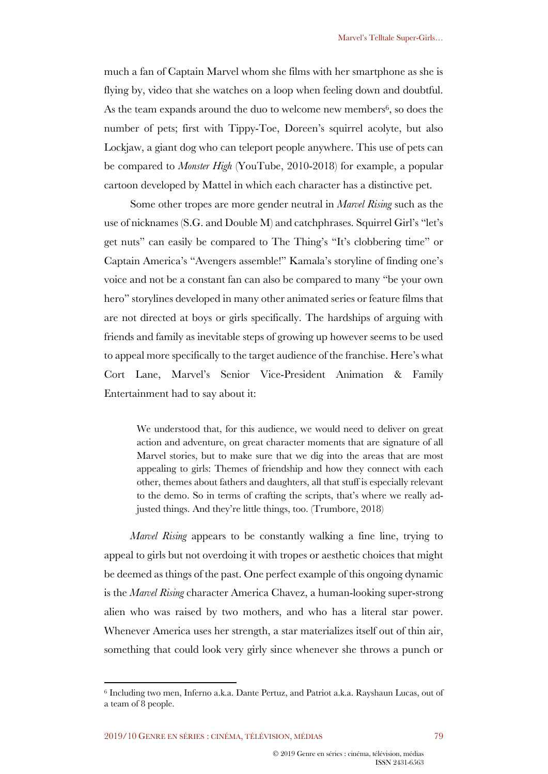much a fan of Captain Marvel whom she films with her smartphone as she is flying by, video that she watches on a loop when feeling down and doubtful. As the team expands around the duo to welcome new members<sup>6</sup>, so does the number of pets; first with Tippy-Toe, Doreen's squirrel acolyte, but also Lockjaw, a giant dog who can teleport people anywhere. This use of pets can be compared to *Monster High* (YouTube, 2010-2018) for example, a popular cartoon developed by Mattel in which each character has a distinctive pet.

Some other tropes are more gender neutral in *Marvel Rising* such as the use of nicknames (S.G. and Double M) and catchphrases. Squirrel Girl's "let's get nuts" can easily be compared to The Thing's "It's clobbering time" or Captain America's "Avengers assemble!" Kamala's storyline of finding one's voice and not be a constant fan can also be compared to many "be your own hero" storylines developed in many other animated series or feature films that are not directed at boys or girls specifically. The hardships of arguing with friends and family as inevitable steps of growing up however seems to be used to appeal more specifically to the target audience of the franchise. Here's what Cort Lane, Marvel's Senior Vice-President Animation & Family Entertainment had to say about it:

We understood that, for this audience, we would need to deliver on great action and adventure, on great character moments that are signature of all Marvel stories, but to make sure that we dig into the areas that are most appealing to girls: Themes of friendship and how they connect with each other, themes about fathers and daughters, all that stuff is especially relevant to the demo. So in terms of crafting the scripts, that's where we really adjusted things. And they're little things, too. (Trumbore, 2018)

*Marvel Rising* appears to be constantly walking a fine line, trying to appeal to girls but not overdoing it with tropes or aesthetic choices that might be deemed as things of the past. One perfect example of this ongoing dynamic is the *Marvel Rising* character America Chavez, a human-looking super-strong alien who was raised by two mothers, and who has a literal star power. Whenever America uses her strength, a star materializes itself out of thin air, something that could look very girly since whenever she throws a punch or

<sup>6</sup> Including two men, Inferno a.k.a. Dante Pertuz, and Patriot a.k.a. Rayshaun Lucas, out of a team of 8 people.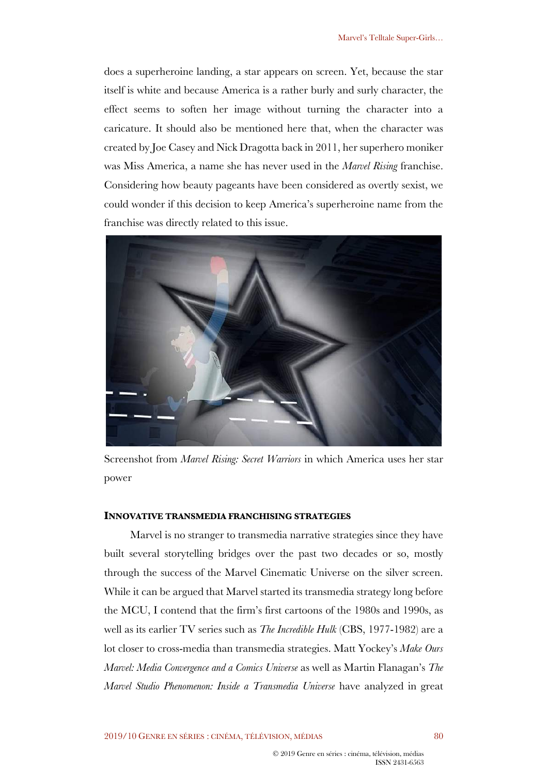does a superheroine landing, a star appears on screen. Yet, because the star itself is white and because America is a rather burly and surly character, the effect seems to soften her image without turning the character into a caricature. It should also be mentioned here that, when the character was created by Joe Casey and Nick Dragotta back in 2011, her superhero moniker was Miss America, a name she has never used in the *Marvel Rising* franchise. Considering how beauty pageants have been considered as overtly sexist, we could wonder if this decision to keep America's superheroine name from the franchise was directly related to this issue.



Screenshot from *Marvel Rising: Secret Warriors* in which America uses her star power

#### **INNOVATIVE TRANSMEDIA FRANCHISING STRATEGIES**

Marvel is no stranger to transmedia narrative strategies since they have built several storytelling bridges over the past two decades or so, mostly through the success of the Marvel Cinematic Universe on the silver screen. While it can be argued that Marvel started its transmedia strategy long before the MCU, I contend that the firm's first cartoons of the 1980s and 1990s, as well as its earlier TV series such as *The Incredible Hulk* (CBS, 1977-1982) are a lot closer to cross-media than transmedia strategies. Matt Yockey's *Make Ours Marvel: Media Convergence and a Comics Universe* as well as Martin Flanagan's *The Marvel Studio Phenomenon: Inside a Transmedia Universe* have analyzed in great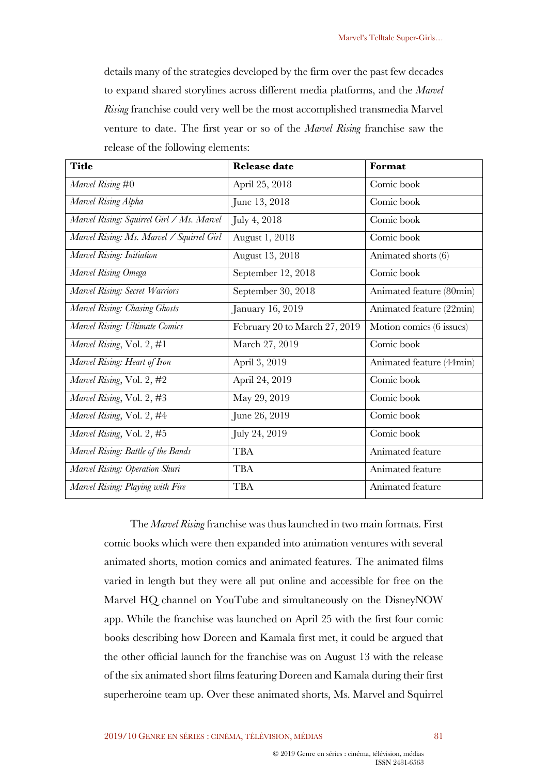details many of the strategies developed by the firm over the past few decades to expand shared storylines across different media platforms, and the *Marvel Rising* franchise could very well be the most accomplished transmedia Marvel venture to date. The first year or so of the *Marvel Rising* franchise saw the release of the following elements:

| <b>Title</b>                              | <b>Release date</b>           | Format                   |
|-------------------------------------------|-------------------------------|--------------------------|
| Marvel Rising #0                          | April 25, 2018                | Comic book               |
| Marvel Rising Alpha                       | June 13, 2018                 | Comic book               |
| Marvel Rising: Squirrel Girl / Ms. Marvel | July 4, 2018                  | Comic book               |
| Marvel Rising: Ms. Marvel / Squirrel Girl | August 1, 2018                | Comic book               |
| Marvel Rising: Initiation                 | August 13, 2018               | Animated shorts (6)      |
| Marvel Rising Omega                       | September 12, 2018            | Comic book               |
| Marvel Rising: Secret Warriors            | September 30, 2018            | Animated feature (80min) |
| Marvel Rising: Chasing Ghosts             | January 16, 2019              | Animated feature (22min) |
| Marvel Rising: Ultimate Comics            | February 20 to March 27, 2019 | Motion comics (6 issues) |
| Marvel Rising, Vol. 2, #1                 | March 27, 2019                | Comic book               |
| Marvel Rising: Heart of Iron              | April 3, 2019                 | Animated feature (44min) |
| Marvel Rising, Vol. 2, #2                 | April 24, 2019                | Comic book               |
| Marvel Rising, Vol. 2, #3                 | May 29, 2019                  | Comic book               |
| Marvel Rising, Vol. 2, #4                 | June 26, 2019                 | Comic book               |
| Marvel Rising, Vol. 2, #5                 | July 24, 2019                 | Comic book               |
| Marvel Rising: Battle of the Bands        | <b>TBA</b>                    | Animated feature         |
| Marvel Rising: Operation Shuri            | <b>TBA</b>                    | Animated feature         |
| Marvel Rising: Playing with Fire          | <b>TBA</b>                    | Animated feature         |

The *Marvel Rising* franchise was thus launched in two main formats. First comic books which were then expanded into animation ventures with several animated shorts, motion comics and animated features. The animated films varied in length but they were all put online and accessible for free on the Marvel HQ channel on YouTube and simultaneously on the DisneyNOW app. While the franchise was launched on April 25 with the first four comic books describing how Doreen and Kamala first met, it could be argued that the other official launch for the franchise was on August 13 with the release of the six animated short films featuring Doreen and Kamala during their first superheroine team up. Over these animated shorts, Ms. Marvel and Squirrel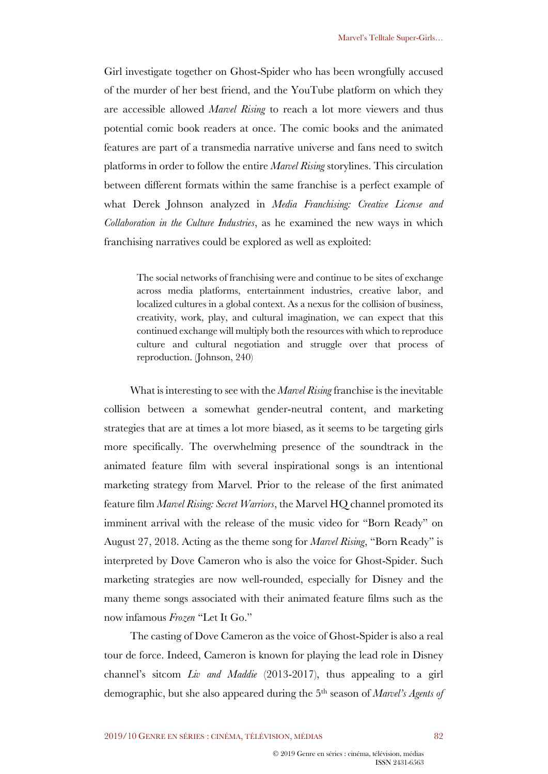Girl investigate together on Ghost-Spider who has been wrongfully accused of the murder of her best friend, and the YouTube platform on which they are accessible allowed *Marvel Rising* to reach a lot more viewers and thus potential comic book readers at once. The comic books and the animated features are part of a transmedia narrative universe and fans need to switch platforms in order to follow the entire *Marvel Rising* storylines. This circulation between different formats within the same franchise is a perfect example of what Derek Johnson analyzed in *Media Franchising: Creative License and Collaboration in the Culture Industries*, as he examined the new ways in which franchising narratives could be explored as well as exploited:

The social networks of franchising were and continue to be sites of exchange across media platforms, entertainment industries, creative labor, and localized cultures in a global context. As a nexus for the collision of business, creativity, work, play, and cultural imagination, we can expect that this continued exchange will multiply both the resources with which to reproduce culture and cultural negotiation and struggle over that process of reproduction. (Johnson, 240)

What is interesting to see with the *Marvel Rising* franchise is the inevitable collision between a somewhat gender-neutral content, and marketing strategies that are at times a lot more biased, as it seems to be targeting girls more specifically. The overwhelming presence of the soundtrack in the animated feature film with several inspirational songs is an intentional marketing strategy from Marvel. Prior to the release of the first animated feature film *Marvel Rising: Secret Warriors*, the Marvel HQ channel promoted its imminent arrival with the release of the music video for "Born Ready" on August 27, 2018. Acting as the theme song for *Marvel Rising*, "Born Ready" is interpreted by Dove Cameron who is also the voice for Ghost-Spider. Such marketing strategies are now well-rounded, especially for Disney and the many theme songs associated with their animated feature films such as the now infamous *Frozen* "Let It Go."

The casting of Dove Cameron as the voice of Ghost-Spider is also a real tour de force. Indeed, Cameron is known for playing the lead role in Disney channel's sitcom *Liv and Maddie* (2013-2017), thus appealing to a girl demographic, but she also appeared during the 5th season of *Marvel's Agents of*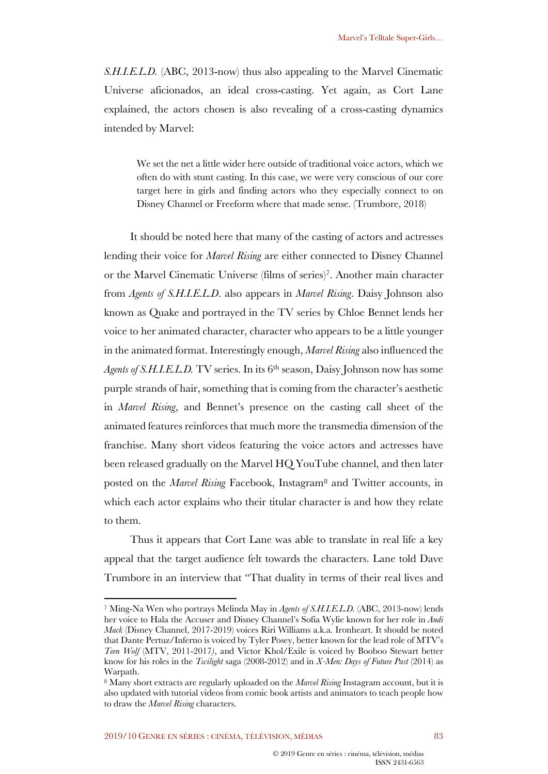*S.H.I.E.L.D.* (ABC, 2013-now) thus also appealing to the Marvel Cinematic Universe aficionados, an ideal cross-casting. Yet again, as Cort Lane explained, the actors chosen is also revealing of a cross-casting dynamics intended by Marvel:

We set the net a little wider here outside of traditional voice actors, which we often do with stunt casting. In this case, we were very conscious of our core target here in girls and finding actors who they especially connect to on Disney Channel or Freeform where that made sense. (Trumbore, 2018)

It should be noted here that many of the casting of actors and actresses lending their voice for *Marvel Rising* are either connected to Disney Channel or the Marvel Cinematic Universe (films of series)7. Another main character from *Agents of S.H.I.E.L.D*. also appears in *Marvel Rising*. Daisy Johnson also known as Quake and portrayed in the TV series by Chloe Bennet lends her voice to her animated character, character who appears to be a little younger in the animated format. Interestingly enough, *Marvel Rising* also influenced the *Agents of S.H.I.E.L.D.* TV series. In its 6<sup>th</sup> season, Daisy Johnson now has some purple strands of hair, something that is coming from the character's aesthetic in *Marvel Rising*, and Bennet's presence on the casting call sheet of the animated features reinforces that much more the transmedia dimension of the franchise. Many short videos featuring the voice actors and actresses have been released gradually on the Marvel HQ YouTube channel, and then later posted on the *Marvel Rising* Facebook, Instagram8 and Twitter accounts, in which each actor explains who their titular character is and how they relate to them.

Thus it appears that Cort Lane was able to translate in real life a key appeal that the target audience felt towards the characters. Lane told Dave Trumbore in an interview that "That duality in terms of their real lives and

<sup>7</sup> Ming-Na Wen who portrays Melinda May in *Agents of S.H.I.E.L.D.* (ABC, 2013-now) lends her voice to Hala the Accuser and Disney Channel's Sofia Wylie known for her role in *Andi Mack* (Disney Channel, 2017-2019) voices Riri Williams a.k.a. Ironheart. It should be noted that Dante Pertuz/Inferno is voiced by Tyler Posey, better known for the lead role of MTV's *Teen Wolf* (MTV, 2011-2017*)*, and Victor Khol/Exile is voiced by Booboo Stewart better know for his roles in the *Twilight* saga (2008-2012) and in *X-Men: Days of Future Past* (2014) as Warpath.

<sup>8</sup> Many short extracts are regularly uploaded on the *Marvel Rising* Instagram account, but it is also updated with tutorial videos from comic book artists and animators to teach people how to draw the *Marvel Rising* characters.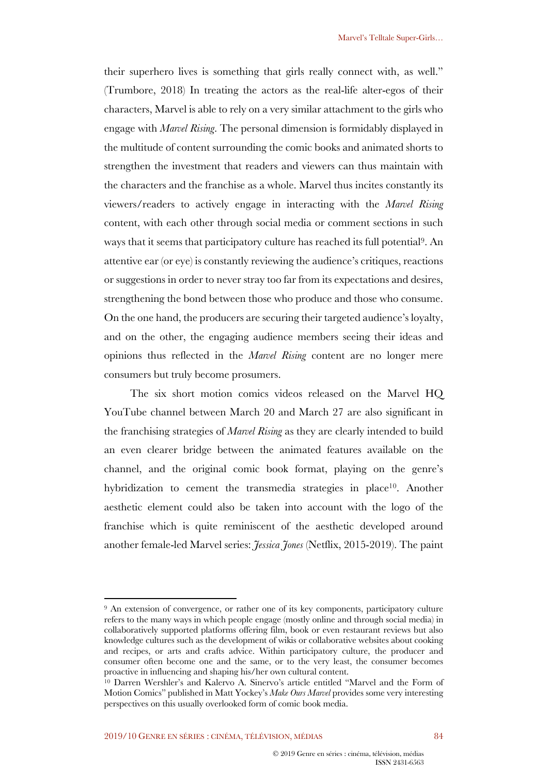their superhero lives is something that girls really connect with, as well." (Trumbore, 2018) In treating the actors as the real-life alter-egos of their characters, Marvel is able to rely on a very similar attachment to the girls who engage with *Marvel Rising*. The personal dimension is formidably displayed in the multitude of content surrounding the comic books and animated shorts to strengthen the investment that readers and viewers can thus maintain with the characters and the franchise as a whole. Marvel thus incites constantly its viewers/readers to actively engage in interacting with the *Marvel Rising* content, with each other through social media or comment sections in such ways that it seems that participatory culture has reached its full potential9. An attentive ear (or eye) is constantly reviewing the audience's critiques, reactions or suggestions in order to never stray too far from its expectations and desires, strengthening the bond between those who produce and those who consume. On the one hand, the producers are securing their targeted audience's loyalty, and on the other, the engaging audience members seeing their ideas and opinions thus reflected in the *Marvel Rising* content are no longer mere consumers but truly become prosumers.

The six short motion comics videos released on the Marvel HQ YouTube channel between March 20 and March 27 are also significant in the franchising strategies of *Marvel Rising* as they are clearly intended to build an even clearer bridge between the animated features available on the channel, and the original comic book format, playing on the genre's hybridization to cement the transmedia strategies in place<sup>10</sup>. Another aesthetic element could also be taken into account with the logo of the franchise which is quite reminiscent of the aesthetic developed around another female-led Marvel series: *Jessica Jones* (Netflix, 2015-2019). The paint

<sup>9</sup> An extension of convergence, or rather one of its key components, participatory culture refers to the many ways in which people engage (mostly online and through social media) in collaboratively supported platforms offering film, book or even restaurant reviews but also knowledge cultures such as the development of wikis or collaborative websites about cooking and recipes, or arts and crafts advice. Within participatory culture, the producer and consumer often become one and the same, or to the very least, the consumer becomes proactive in influencing and shaping his/her own cultural content.

<sup>&</sup>lt;sup>10</sup> Darren Wershler's and Kalervo A. Sinervo's article entitled "Marvel and the Form of Motion Comics" published in Matt Yockey's *Make Ours Marvel* provides some very interesting perspectives on this usually overlooked form of comic book media.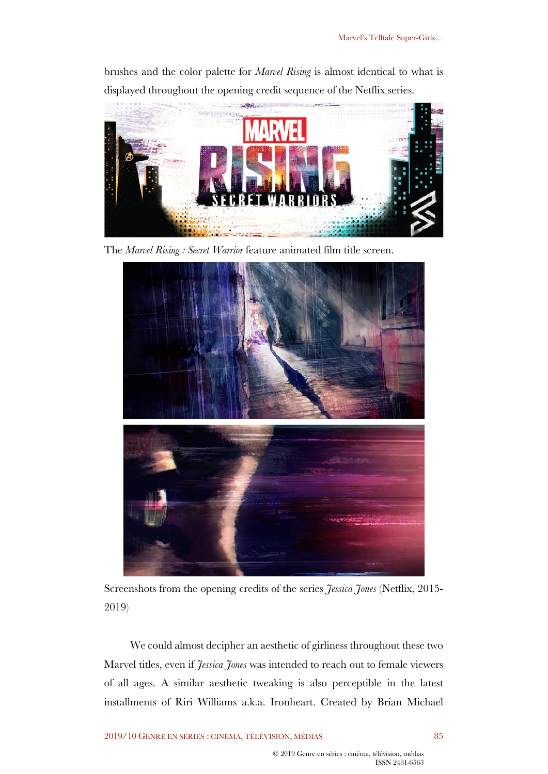brushes and the color palette for *Marvel Rising* is almost identical to what is displayed throughout the opening credit sequence of the Netflix series.



The *Marvel Rising : Secret Warrior* feature animated film title screen.



Screenshots from the opening credits of the series *Jessica Jones* (Netflix, 2015- 2019)

We could almost decipher an aesthetic of girliness throughout these two Marvel titles, even if *Jessica Jones* was intended to reach out to female viewers of all ages. A similar aesthetic tweaking is also perceptible in the latest installments of Riri Williams a.k.a. Ironheart. Created by Brian Michael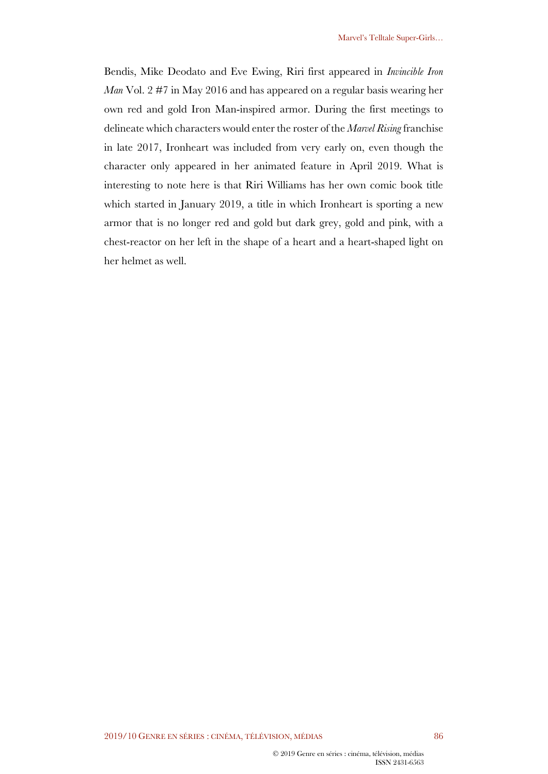Bendis, Mike Deodato and Eve Ewing, Riri first appeared in *Invincible Iron Man* Vol. 2 #7 in May 2016 and has appeared on a regular basis wearing her own red and gold Iron Man-inspired armor. During the first meetings to delineate which characters would enter the roster of the *Marvel Rising* franchise in late 2017, Ironheart was included from very early on, even though the character only appeared in her animated feature in April 2019. What is interesting to note here is that Riri Williams has her own comic book title which started in January 2019, a title in which Ironheart is sporting a new armor that is no longer red and gold but dark grey, gold and pink, with a chest-reactor on her left in the shape of a heart and a heart-shaped light on her helmet as well.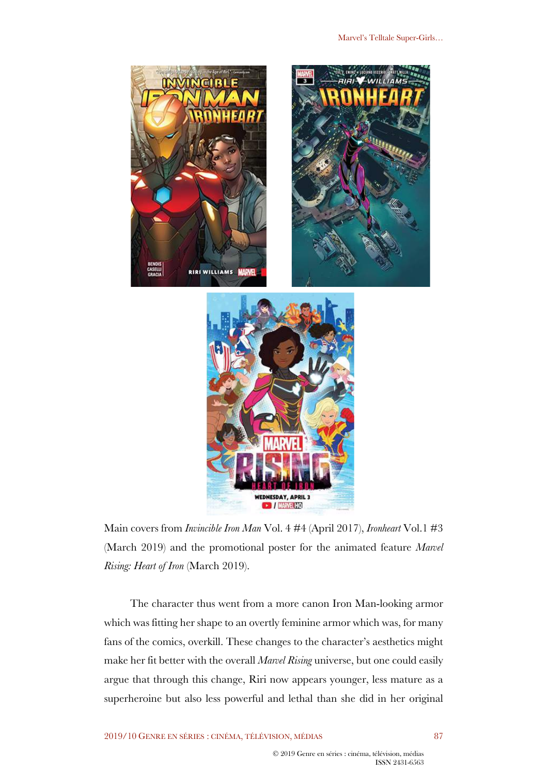

Main covers from *Invincible Iron Man* Vol. 4 #4 (April 2017), *Ironheart* Vol.1 #3 (March 2019) and the promotional poster for the animated feature *Marvel Rising: Heart of Iron* (March 2019).

The character thus went from a more canon Iron Man-looking armor which was fitting her shape to an overtly feminine armor which was, for many fans of the comics, overkill. These changes to the character's aesthetics might make her fit better with the overall *Marvel Rising* universe, but one could easily argue that through this change, Riri now appears younger, less mature as a superheroine but also less powerful and lethal than she did in her original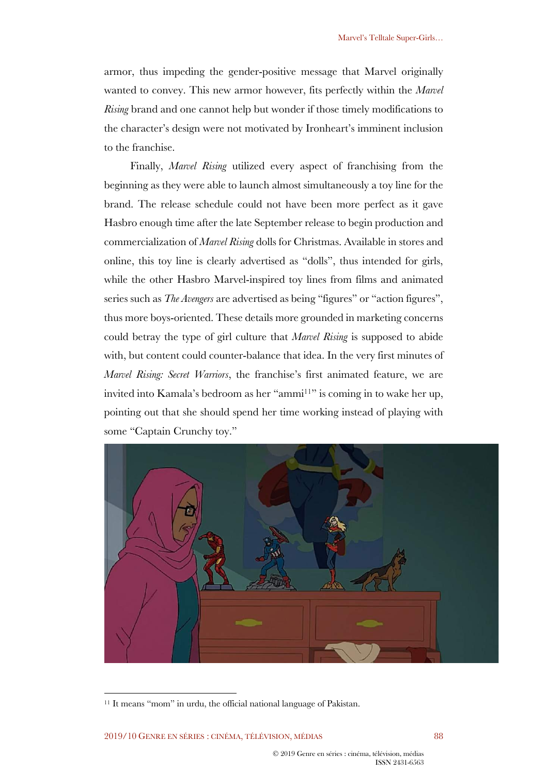armor, thus impeding the gender-positive message that Marvel originally wanted to convey. This new armor however, fits perfectly within the *Marvel Rising* brand and one cannot help but wonder if those timely modifications to the character's design were not motivated by Ironheart's imminent inclusion to the franchise.

Finally, *Marvel Rising* utilized every aspect of franchising from the beginning as they were able to launch almost simultaneously a toy line for the brand. The release schedule could not have been more perfect as it gave Hasbro enough time after the late September release to begin production and commercialization of *Marvel Rising* dolls for Christmas. Available in stores and online, this toy line is clearly advertised as "dolls", thus intended for girls, while the other Hasbro Marvel-inspired toy lines from films and animated series such as *The Avengers* are advertised as being "figures" or "action figures", thus more boys-oriented. These details more grounded in marketing concerns could betray the type of girl culture that *Marvel Rising* is supposed to abide with, but content could counter-balance that idea. In the very first minutes of *Marvel Rising: Secret Warriors*, the franchise's first animated feature, we are invited into Kamala's bedroom as her "ammi<sup>11</sup>" is coming in to wake her up, pointing out that she should spend her time working instead of playing with some "Captain Crunchy toy."



<sup>11</sup> It means "mom" in urdu, the official national language of Pakistan.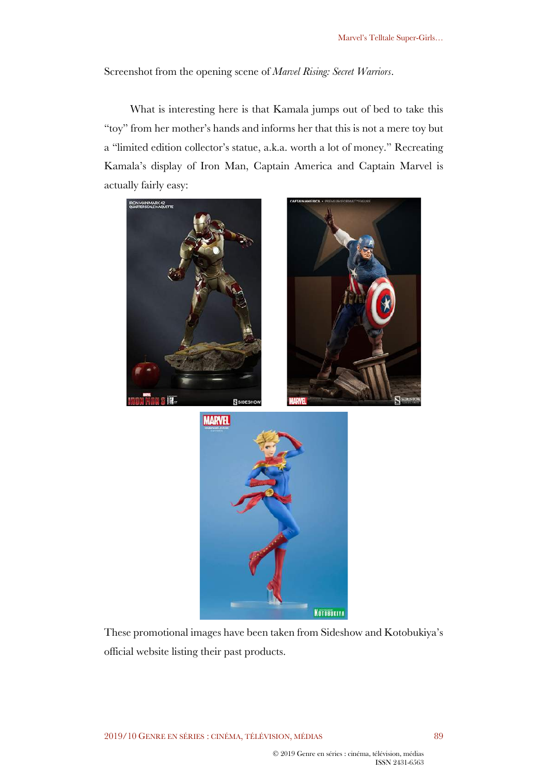Screenshot from the opening scene of *Marvel Rising: Secret Warriors*.

What is interesting here is that Kamala jumps out of bed to take this "toy" from her mother's hands and informs her that this is not a mere toy but a "limited edition collector's statue, a.k.a. worth a lot of money." Recreating Kamala's display of Iron Man, Captain America and Captain Marvel is actually fairly easy:







These promotional images have been taken from Sideshow and Kotobukiya's official website listing their past products.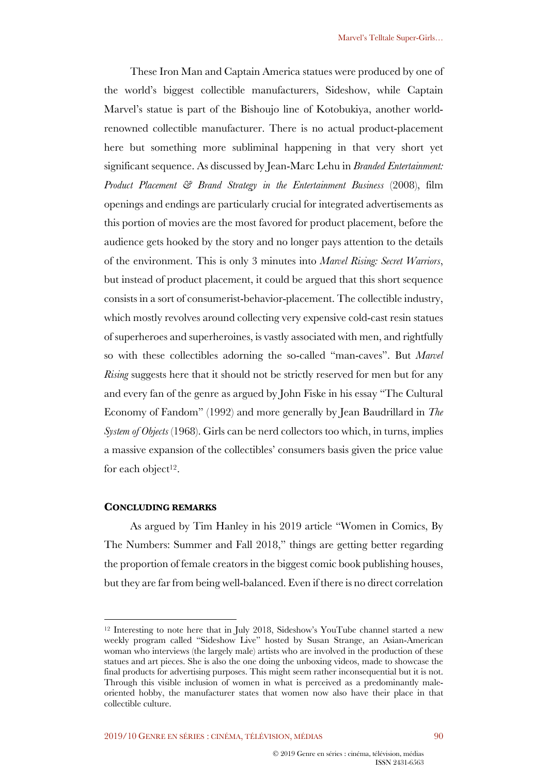These Iron Man and Captain America statues were produced by one of the world's biggest collectible manufacturers, Sideshow, while Captain Marvel's statue is part of the Bishoujo line of Kotobukiya, another worldrenowned collectible manufacturer. There is no actual product-placement here but something more subliminal happening in that very short yet significant sequence. As discussed by Jean-Marc Lehu in *Branded Entertainment: Product Placement & Brand Strategy in the Entertainment Business* (2008), film openings and endings are particularly crucial for integrated advertisements as this portion of movies are the most favored for product placement, before the audience gets hooked by the story and no longer pays attention to the details of the environment. This is only 3 minutes into *Marvel Rising: Secret Warriors*, but instead of product placement, it could be argued that this short sequence consists in a sort of consumerist-behavior-placement. The collectible industry, which mostly revolves around collecting very expensive cold-cast resin statues of superheroes and superheroines, is vastly associated with men, and rightfully so with these collectibles adorning the so-called "man-caves". But *Marvel Rising* suggests here that it should not be strictly reserved for men but for any and every fan of the genre as argued by John Fiske in his essay "The Cultural Economy of Fandom" (1992) and more generally by Jean Baudrillard in *The System of Objects* (1968). Girls can be nerd collectors too which, in turns, implies a massive expansion of the collectibles' consumers basis given the price value for each object<sup>12</sup>.

### **CONCLUDING REMARKS**

As argued by Tim Hanley in his 2019 article "Women in Comics, By The Numbers: Summer and Fall 2018," things are getting better regarding the proportion of female creators in the biggest comic book publishing houses, but they are far from being well-balanced. Even if there is no direct correlation

<sup>&</sup>lt;sup>12</sup> Interesting to note here that in July 2018, Sideshow's YouTube channel started a new weekly program called "Sideshow Live" hosted by Susan Strange, an Asian-American woman who interviews (the largely male) artists who are involved in the production of these statues and art pieces. She is also the one doing the unboxing videos, made to showcase the final products for advertising purposes. This might seem rather inconsequential but it is not. Through this visible inclusion of women in what is perceived as a predominantly maleoriented hobby, the manufacturer states that women now also have their place in that collectible culture.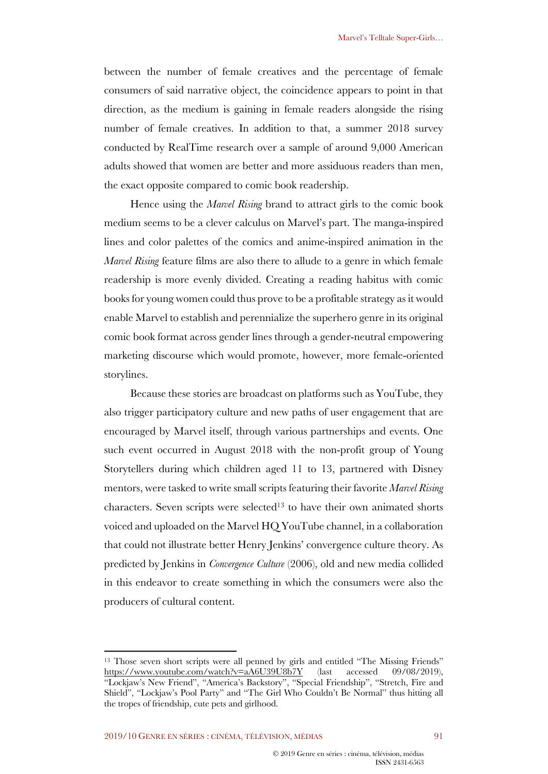between the number of female creatives and the percentage of female consumers of said narrative object, the coincidence appears to point in that direction, as the medium is gaining in female readers alongside the rising number of female creatives. In addition to that, a summer 2018 survey conducted by RealTime research over a sample of around 9,000 American adults showed that women are better and more assiduous readers than men, the exact opposite compared to comic book readership.

Hence using the *Marvel Rising* brand to attract girls to the comic book medium seems to be a clever calculus on Marvel's part. The manga-inspired lines and color palettes of the comics and anime-inspired animation in the *Marvel Rising* feature films are also there to allude to a genre in which female readership is more evenly divided. Creating a reading habitus with comic books for young women could thus prove to be a profitable strategy as it would enable Marvel to establish and perennialize the superhero genre in its original comic book format across gender lines through a gender-neutral empowering marketing discourse which would promote, however, more female-oriented storylines.

Because these stories are broadcast on platforms such as YouTube, they also trigger participatory culture and new paths of user engagement that are encouraged by Marvel itself, through various partnerships and events. One such event occurred in August 2018 with the non-profit group of Young Storytellers during which children aged 11 to 13, partnered with Disney mentors, were tasked to write small scripts featuring their favorite *Marvel Rising* characters. Seven scripts were selected<sup>13</sup> to have their own animated shorts voiced and uploaded on the Marvel HQ YouTube channel, in a collaboration that could not illustrate better Henry Jenkins' convergence culture theory. As predicted by Jenkins in *Convergence Culture* (2006), old and new media collided in this endeavor to create something in which the consumers were also the producers of cultural content.

<sup>&</sup>lt;sup>13</sup> Those seven short scripts were all penned by girls and entitled "The Missing Friends" https://www.youtube.com/watch?v=aA6U39U8b7Y (last accessed 09/08/2019), "Lockjaw's New Friend", "America's Backstory", "Special Friendship", "Stretch, Fire and Shield", "Lockjaw's Pool Party" and "The Girl Who Couldn't Be Normal" thus hitting all the tropes of friendship, cute pets and girlhood.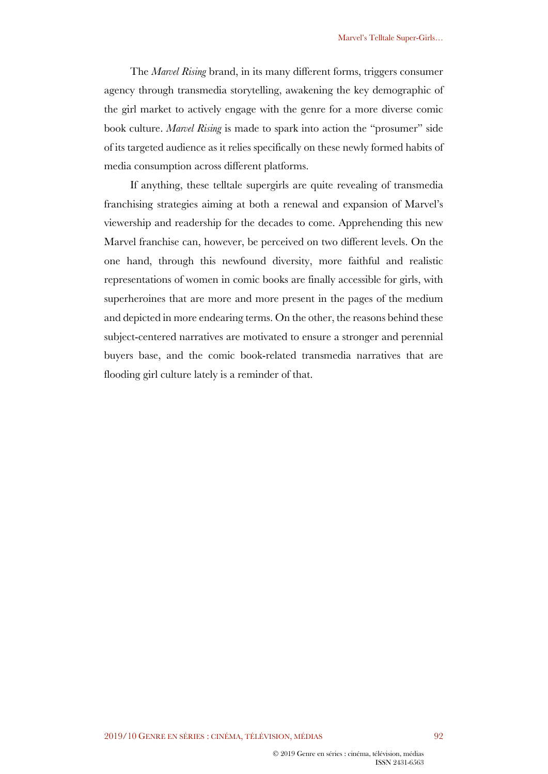The *Marvel Rising* brand, in its many different forms, triggers consumer agency through transmedia storytelling, awakening the key demographic of the girl market to actively engage with the genre for a more diverse comic book culture. *Marvel Rising* is made to spark into action the "prosumer" side of its targeted audience as it relies specifically on these newly formed habits of media consumption across different platforms.

If anything, these telltale supergirls are quite revealing of transmedia franchising strategies aiming at both a renewal and expansion of Marvel's viewership and readership for the decades to come. Apprehending this new Marvel franchise can, however, be perceived on two different levels. On the one hand, through this newfound diversity, more faithful and realistic representations of women in comic books are finally accessible for girls, with superheroines that are more and more present in the pages of the medium and depicted in more endearing terms. On the other, the reasons behind these subject-centered narratives are motivated to ensure a stronger and perennial buyers base, and the comic book-related transmedia narratives that are flooding girl culture lately is a reminder of that.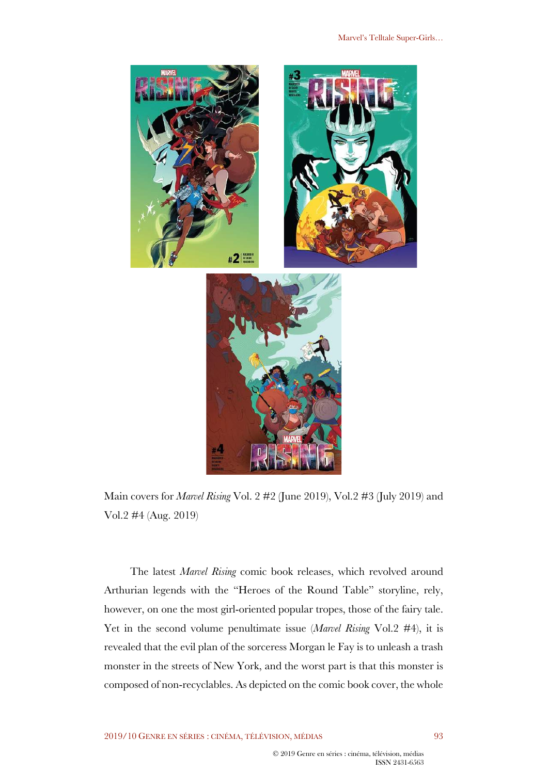

Main covers for *Marvel Rising* Vol. 2 #2 (June 2019), Vol.2 #3 (July 2019) and Vol.2 #4 (Aug. 2019)

The latest *Marvel Rising* comic book releases, which revolved around Arthurian legends with the "Heroes of the Round Table" storyline, rely, however, on one the most girl-oriented popular tropes, those of the fairy tale. Yet in the second volume penultimate issue (*Marvel Rising* Vol.2 #4), it is revealed that the evil plan of the sorceress Morgan le Fay is to unleash a trash monster in the streets of New York, and the worst part is that this monster is composed of non-recyclables. As depicted on the comic book cover, the whole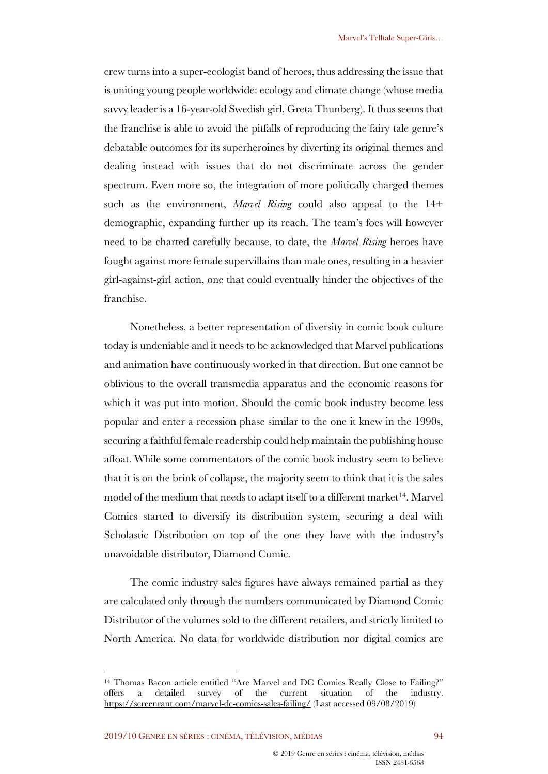crew turns into a super-ecologist band of heroes, thus addressing the issue that is uniting young people worldwide: ecology and climate change (whose media savvy leader is a 16-year-old Swedish girl, Greta Thunberg). It thus seems that the franchise is able to avoid the pitfalls of reproducing the fairy tale genre's debatable outcomes for its superheroines by diverting its original themes and dealing instead with issues that do not discriminate across the gender spectrum. Even more so, the integration of more politically charged themes such as the environment, *Marvel Rising* could also appeal to the 14+ demographic, expanding further up its reach. The team's foes will however need to be charted carefully because, to date, the *Marvel Rising* heroes have fought against more female supervillains than male ones, resulting in a heavier girl-against-girl action, one that could eventually hinder the objectives of the franchise.

Nonetheless, a better representation of diversity in comic book culture today is undeniable and it needs to be acknowledged that Marvel publications and animation have continuously worked in that direction. But one cannot be oblivious to the overall transmedia apparatus and the economic reasons for which it was put into motion. Should the comic book industry become less popular and enter a recession phase similar to the one it knew in the 1990s, securing a faithful female readership could help maintain the publishing house afloat. While some commentators of the comic book industry seem to believe that it is on the brink of collapse, the majority seem to think that it is the sales model of the medium that needs to adapt itself to a different market<sup>14</sup>. Marvel Comics started to diversify its distribution system, securing a deal with Scholastic Distribution on top of the one they have with the industry's unavoidable distributor, Diamond Comic.

The comic industry sales figures have always remained partial as they are calculated only through the numbers communicated by Diamond Comic Distributor of the volumes sold to the different retailers, and strictly limited to North America. No data for worldwide distribution nor digital comics are

<sup>14</sup> Thomas Bacon article entitled "Are Marvel and DC Comics Really Close to Failing?" offers a detailed survey of the current situation of the industry. https://screenrant.com/marvel-dc-comics-sales-failing/ (Last accessed 09/08/2019)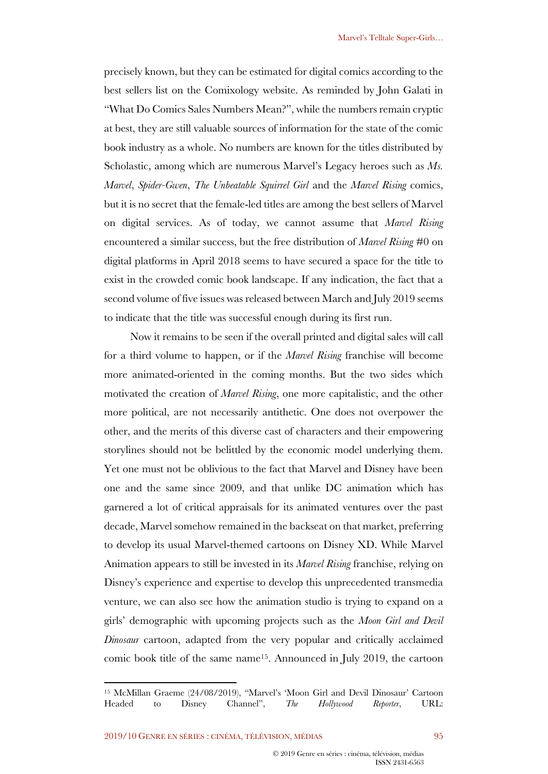precisely known, but they can be estimated for digital comics according to the best sellers list on the Comixology website. As reminded by John Galati in "What Do Comics Sales Numbers Mean?", while the numbers remain cryptic at best, they are still valuable sources of information for the state of the comic book industry as a whole. No numbers are known for the titles distributed by Scholastic, among which are numerous Marvel's Legacy heroes such as *Ms. Marvel*, *Spider-Gwen*, *The Unbeatable Squirrel Girl* and the *Marvel Rising* comics, but it is no secret that the female-led titles are among the best sellers of Marvel on digital services. As of today, we cannot assume that *Marvel Rising* encountered a similar success, but the free distribution of *Marvel Rising* #0 on digital platforms in April 2018 seems to have secured a space for the title to exist in the crowded comic book landscape. If any indication, the fact that a second volume of five issues was released between March and July 2019 seems to indicate that the title was successful enough during its first run.

Now it remains to be seen if the overall printed and digital sales will call for a third volume to happen, or if the *Marvel Rising* franchise will become more animated-oriented in the coming months. But the two sides which motivated the creation of *Marvel Rising*, one more capitalistic, and the other more political, are not necessarily antithetic. One does not overpower the other, and the merits of this diverse cast of characters and their empowering storylines should not be belittled by the economic model underlying them. Yet one must not be oblivious to the fact that Marvel and Disney have been one and the same since 2009, and that unlike DC animation which has garnered a lot of critical appraisals for its animated ventures over the past decade, Marvel somehow remained in the backseat on that market, preferring to develop its usual Marvel-themed cartoons on Disney XD. While Marvel Animation appears to still be invested in its *Marvel Rising* franchise, relying on Disney's experience and expertise to develop this unprecedented transmedia venture, we can also see how the animation studio is trying to expand on a girls' demographic with upcoming projects such as the *Moon Girl and Devil Dinosaur* cartoon, adapted from the very popular and critically acclaimed comic book title of the same name15. Announced in July 2019, the cartoon

<sup>15</sup> McMillan Graeme (24/08/2019), "Marvel's 'Moon Girl and Devil Dinosaur' Cartoon Headed to Disney Channel", *The Hollywood Reporter*, URL: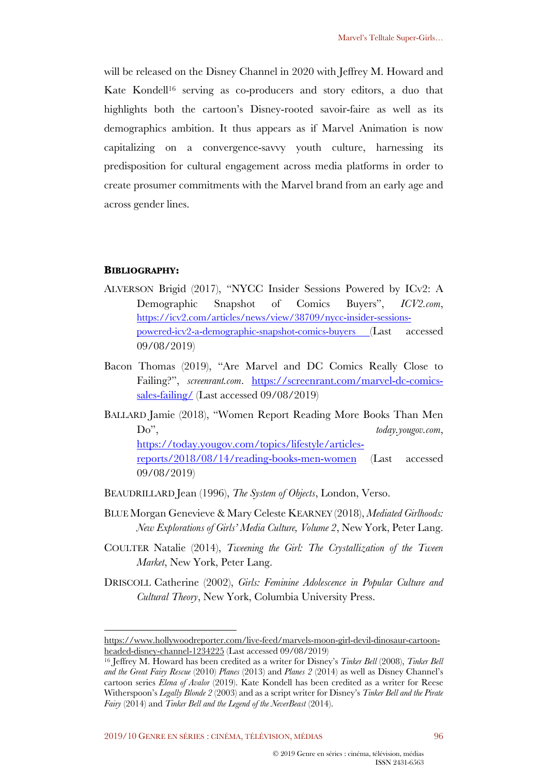will be released on the Disney Channel in 2020 with Jeffrey M. Howard and Kate Kondell<sup>16</sup> serving as co-producers and story editors, a duo that highlights both the cartoon's Disney-rooted savoir-faire as well as its demographics ambition. It thus appears as if Marvel Animation is now capitalizing on a convergence-savvy youth culture, harnessing its predisposition for cultural engagement across media platforms in order to create prosumer commitments with the Marvel brand from an early age and across gender lines.

### **BIBLIOGRAPHY:**

- ALVERSON Brigid (2017), "NYCC Insider Sessions Powered by ICv2: A Demographic Snapshot of Comics Buyers", *ICV2.com*, https://icv2.com/articles/news/view/38709/nycc-insider-sessionspowered-icv2-a-demographic-snapshot-comics-buyers (Last accessed 09/08/2019)
- Bacon Thomas (2019), "Are Marvel and DC Comics Really Close to Failing?", *screenrant.com*. https://screenrant.com/marvel-dc-comicssales-failing/ (Last accessed 09/08/2019)
- BALLARD Jamie (2018), "Women Report Reading More Books Than Men Do", *today.yougov.com*, https://today.yougov.com/topics/lifestyle/articlesreports/2018/08/14/reading-books-men-women (Last accessed 09/08/2019)
- BEAUDRILLARD Jean (1996), *The System of Objects*, London, Verso.
- BLUE Morgan Genevieve & Mary Celeste KEARNEY (2018), *Mediated Girlhoods: New Explorations of Girls' Media Culture, Volume 2*, New York, Peter Lang.
- COULTER Natalie (2014), *Tweening the Girl: The Crystallization of the Tween Market*, New York, Peter Lang.
- DRISCOLL Catherine (2002), *Girls: Feminine Adolescence in Popular Culture and Cultural Theory*, New York, Columbia University Press.

https://www.hollywoodreporter.com/live-feed/marvels-moon-girl-devil-dinosaur-cartoonheaded-disney-channel-1234225 (Last accessed 09/08/2019)

<sup>16</sup> Jeffrey M. Howard has been credited as a writer for Disney's *Tinker Bell* (2008), *Tinker Bell and the Great Fairy Rescue* (2010) *Planes* (2013) and *Planes 2* (2014) as well as Disney Channel's cartoon series *Elena of Avalor* (2019). Kate Kondell has been credited as a writer for Reese Witherspoon's *Legally Blonde 2* (2003) and as a script writer for Disney's *Tinker Bell and the Pirate Fairy* (2014) and *Tinker Bell and the Legend of the NeverBeast* (2014).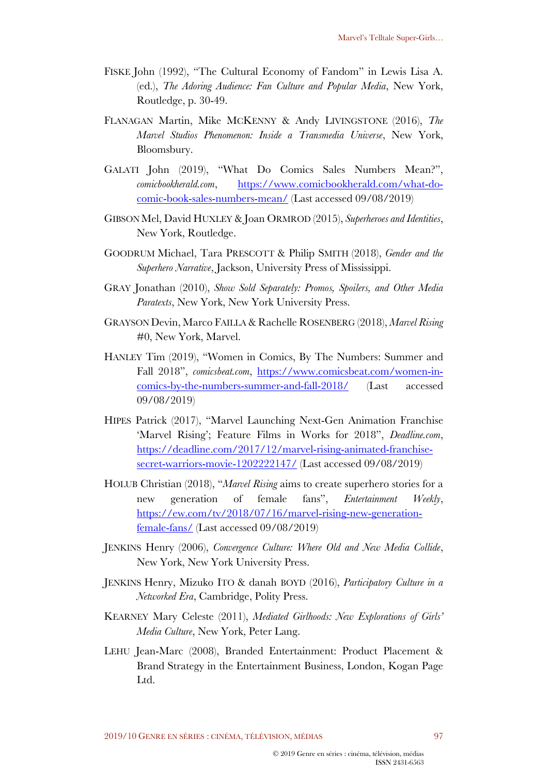- FISKE John (1992), "The Cultural Economy of Fandom" in Lewis Lisa A. (ed.), *The Adoring Audience: Fan Culture and Popular Media*, New York, Routledge, p. 30-49.
- FLANAGAN Martin, Mike MCKENNY & Andy LIVINGSTONE (2016), *The Marvel Studios Phenomenon: Inside a Transmedia Universe*, New York, Bloomsbury.
- GALATI John (2019), "What Do Comics Sales Numbers Mean?", *comicbookherald.com*, https://www.comicbookherald.com/what-docomic-book-sales-numbers-mean/ (Last accessed 09/08/2019)
- GIBSON Mel, David HUXLEY & Joan ORMROD (2015), *Superheroes and Identities*, New York, Routledge.
- GOODRUM Michael, Tara PRESCOTT & Philip SMITH (2018), *Gender and the Superhero Narrative*, Jackson, University Press of Mississippi.
- GRAY Jonathan (2010), *Show Sold Separately: Promos, Spoilers, and Other Media Paratexts*, New York, New York University Press.
- GRAYSON Devin, Marco FAILLA & Rachelle ROSENBERG (2018), *Marvel Rising* #0, New York, Marvel.
- HANLEY Tim (2019), "Women in Comics, By The Numbers: Summer and Fall 2018", *comicsbeat.com*, https://www.comicsbeat.com/women-incomics-by-the-numbers-summer-and-fall-2018/ (Last accessed 09/08/2019)
- HIPES Patrick (2017), "Marvel Launching Next-Gen Animation Franchise 'Marvel Rising'; Feature Films in Works for 2018", *Deadline.com*, https://deadline.com/2017/12/marvel-rising-animated-franchisesecret-warriors-movie-1202222147/ (Last accessed 09/08/2019)
- HOLUB Christian (2018), "*Marvel Rising* aims to create superhero stories for a new generation of female fans", *Entertainment Weekly*, https://ew.com/tv/2018/07/16/marvel-rising-new-generationfemale-fans/ (Last accessed 09/08/2019)
- JENKINS Henry (2006), *Convergence Culture: Where Old and New Media Collide*, New York, New York University Press.
- JENKINS Henry, Mizuko ITO & danah BOYD (2016), *Participatory Culture in a Networked Era*, Cambridge, Polity Press.
- KEARNEY Mary Celeste (2011), *Mediated Girlhoods: New Explorations of Girls' Media Culture*, New York, Peter Lang.
- LEHU Jean-Marc (2008), Branded Entertainment: Product Placement & Brand Strategy in the Entertainment Business, London, Kogan Page Ltd.